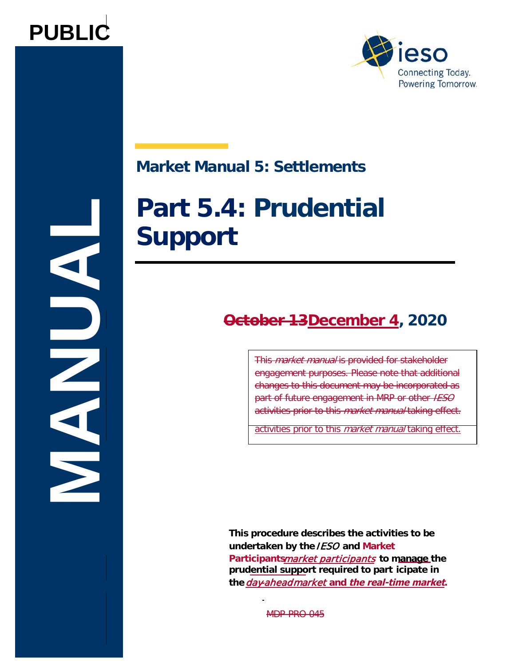



# **Market Manual 5: Settlements**

# **Part 5.4: Prudential Support**

# **October 13December 4, 2020**

This manual is the second manual is provided to the state of enanges to the addament may be incerporated as<br>part of future engagement in MRP or other IESO part of fatal o origing official manual befolked as <mark>activities prior to this *market manual* taking effect.</mark> This market manual is provided for stakeholder engagement purposes. Please note that additional changes to this document may be incorporated as

activities prior to this *market manual* taking effect.

**This procedure describes the activities to be undertaken by the IESO and Market Participants**market participants **to manage the prudential support required to part icipate in**  the *day-ahead market* and *the real-time market*.

MDP-PRO-045

**MANUAL**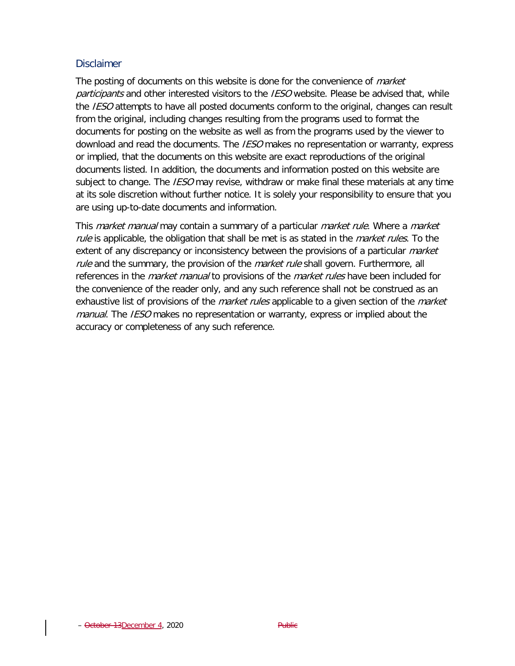#### **Disclaimer**

The posting of documents on this website is done for the convenience of *market* participants and other interested visitors to the IESO website. Please be advised that, while the IESO attempts to have all posted documents conform to the original, changes can result from the original, including changes resulting from the programs used to format the documents for posting on the website as well as from the programs used by the viewer to download and read the documents. The *IESO* makes no representation or warranty, express or implied, that the documents on this website are exact reproductions of the original documents listed. In addition, the documents and information posted on this website are subject to change. The *IESO* may revise, withdraw or make final these materials at any time at its sole discretion without further notice. It is solely your responsibility to ensure that you are using up-to-date documents and information.

This *market manual* may contain a summary of a particular *market rule*. Where a *market* rule is applicable, the obligation that shall be met is as stated in the *market rules*. To the extent of any discrepancy or inconsistency between the provisions of a particular *market* rule and the summary, the provision of the *market rule* shall govern. Furthermore, all references in the *market manual* to provisions of the *market rules* have been included for the convenience of the reader only, and any such reference shall not be construed as an exhaustive list of provisions of the *market rules* applicable to a given section of the *market* manual. The IESO makes no representation or warranty, express or implied about the accuracy or completeness of any such reference.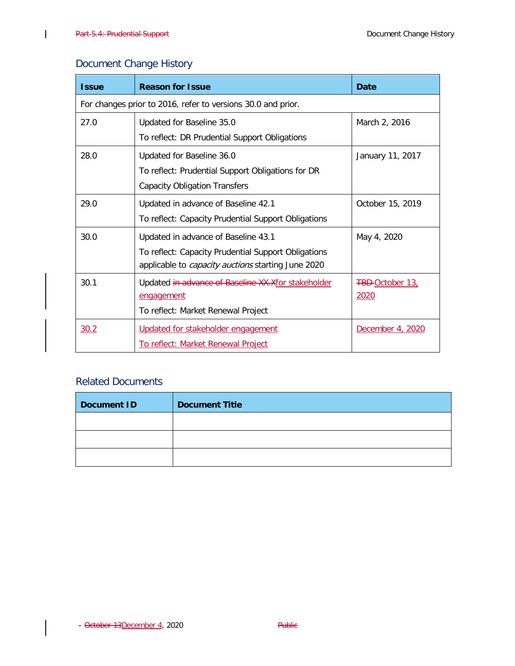$\overline{1}$ 

### Document Change History

| <b>Issue</b>                                                 | <b>Reason for Issue</b>                                   | Date                   |  |  |
|--------------------------------------------------------------|-----------------------------------------------------------|------------------------|--|--|
| For changes prior to 2016, refer to versions 30.0 and prior. |                                                           |                        |  |  |
| 27.0                                                         | Updated for Baseline 35.0                                 | March 2, 2016          |  |  |
|                                                              | To reflect: DR Prudential Support Obligations             |                        |  |  |
| 28.0                                                         | Updated for Baseline 36.0                                 | January 11, 2017       |  |  |
|                                                              | To reflect: Prudential Support Obligations for DR         |                        |  |  |
|                                                              | <b>Capacity Obligation Transfers</b>                      |                        |  |  |
| 29.0                                                         | Updated in advance of Baseline 42.1                       | October 15, 2019       |  |  |
|                                                              | To reflect: Capacity Prudential Support Obligations       |                        |  |  |
| 30.0                                                         | Updated in advance of Baseline 43.1                       | May 4, 2020            |  |  |
|                                                              | To reflect: Capacity Prudential Support Obligations       |                        |  |  |
|                                                              | applicable to <i>capacity auctions</i> starting June 2020 |                        |  |  |
| 30.1                                                         | Updated in advance of Baseline XX.Xfor stakeholder        | <b>FBD-October 13.</b> |  |  |
|                                                              | <u>engagement</u>                                         | 2020                   |  |  |
|                                                              | To reflect: Market Renewal Project                        |                        |  |  |
| 30.2                                                         | Updated for stakeholder engagement                        | December 4, 2020       |  |  |
|                                                              | To reflect: Market Renewal Project                        |                        |  |  |

### Related Documents

| Document ID | <b>Document Title</b> |
|-------------|-----------------------|
|             |                       |
|             |                       |
|             |                       |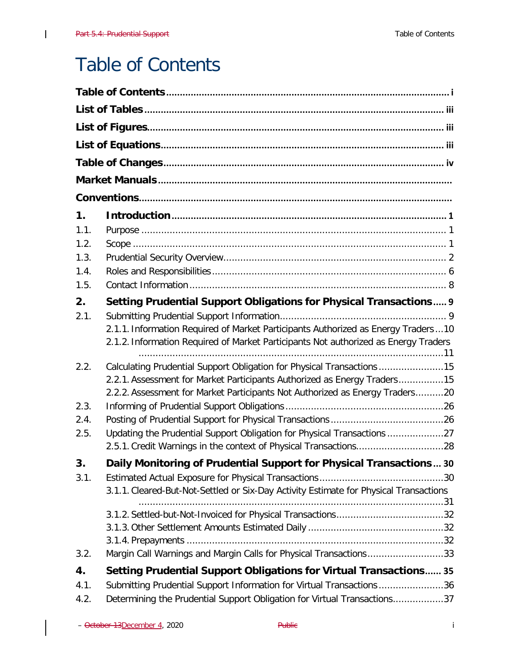$\overline{\phantom{a}}$ 

# <span id="page-3-0"></span>Table of Contents

| 1.   |                                                                                       |
|------|---------------------------------------------------------------------------------------|
| 1.1. |                                                                                       |
| 1.2. |                                                                                       |
| 1.3. |                                                                                       |
| 1.4. |                                                                                       |
| 1.5. |                                                                                       |
| 2.   | Setting Prudential Support Obligations for Physical Transactions 9                    |
| 2.1. |                                                                                       |
|      | 2.1.1. Information Required of Market Participants Authorized as Energy Traders  10   |
|      | 2.1.2. Information Required of Market Participants Not authorized as Energy Traders   |
| 2.2. | Calculating Prudential Support Obligation for Physical Transactions15                 |
|      | 2.2.1. Assessment for Market Participants Authorized as Energy Traders15              |
|      | 2.2.2. Assessment for Market Participants Not Authorized as Energy Traders20          |
| 2.3. |                                                                                       |
| 2.4. |                                                                                       |
| 2.5. | Updating the Prudential Support Obligation for Physical Transactions 27               |
|      |                                                                                       |
| 3.   | Daily Monitoring of Prudential Support for Physical Transactions 30                   |
| 3.1. |                                                                                       |
|      | 3.1.1. Cleared-But-Not-Settled or Six-Day Activity Estimate for Physical Transactions |
|      |                                                                                       |
|      |                                                                                       |
|      |                                                                                       |
| 3.2. | Margin Call Warnings and Margin Calls for Physical Transactions33                     |
| 4.   | <b>Setting Prudential Support Obligations for Virtual Transactions 35</b>             |
| 4.1. | Submitting Prudential Support Information for Virtual Transactions36                  |
| 4.2. | Determining the Prudential Support Obligation for Virtual Transactions37              |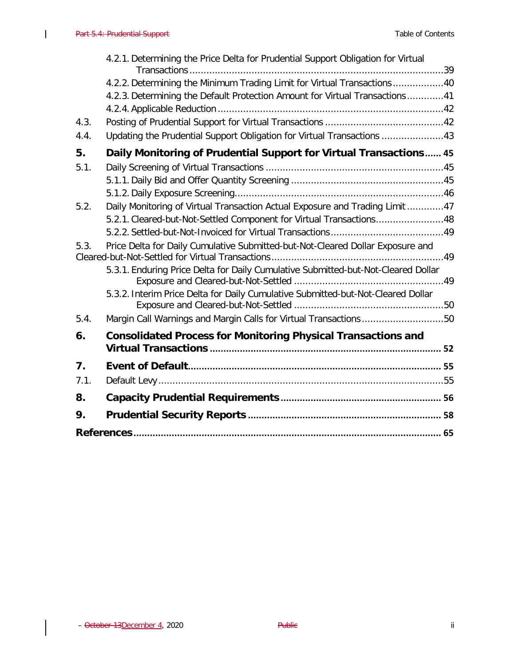$\overline{\phantom{a}}$ 

|      | 4.2.1. Determining the Price Delta for Prudential Support Obligation for Virtual  |  |
|------|-----------------------------------------------------------------------------------|--|
|      | 4.2.2. Determining the Minimum Trading Limit for Virtual Transactions40           |  |
|      | 4.2.3. Determining the Default Protection Amount for Virtual Transactions41       |  |
|      |                                                                                   |  |
| 4.3. |                                                                                   |  |
| 4.4. | Updating the Prudential Support Obligation for Virtual Transactions 43            |  |
| 5.   | Daily Monitoring of Prudential Support for Virtual Transactions 45                |  |
| 5.1. |                                                                                   |  |
|      |                                                                                   |  |
|      |                                                                                   |  |
| 5.2. | Daily Monitoring of Virtual Transaction Actual Exposure and Trading Limit 47      |  |
|      | 5.2.1. Cleared-but-Not-Settled Component for Virtual Transactions48               |  |
|      |                                                                                   |  |
| 5.3. | Price Delta for Daily Cumulative Submitted-but-Not-Cleared Dollar Exposure and    |  |
|      | 5.3.1. Enduring Price Delta for Daily Cumulative Submitted-but-Not-Cleared Dollar |  |
|      | 5.3.2. Interim Price Delta for Daily Cumulative Submitted-but-Not-Cleared Dollar  |  |
| 5.4. | Margin Call Warnings and Margin Calls for Virtual Transactions50                  |  |
| 6.   | <b>Consolidated Process for Monitoring Physical Transactions and</b>              |  |
| 7.   |                                                                                   |  |
|      |                                                                                   |  |
| 7.1. |                                                                                   |  |
| 8.   |                                                                                   |  |
| 9.   |                                                                                   |  |
|      |                                                                                   |  |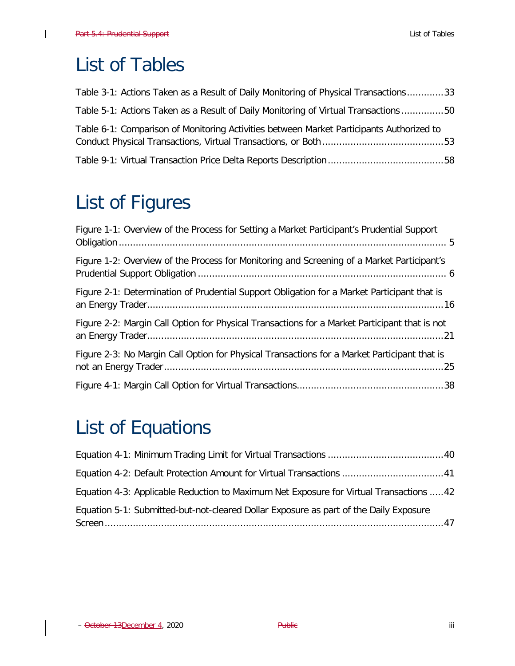$\overline{1}$ 

# <span id="page-5-0"></span>List of Tables

| Table 3-1: Actions Taken as a Result of Daily Monitoring of Physical Transactions33      |  |
|------------------------------------------------------------------------------------------|--|
| Table 5-1: Actions Taken as a Result of Daily Monitoring of Virtual Transactions 50      |  |
| Table 6-1: Comparison of Monitoring Activities between Market Participants Authorized to |  |
|                                                                                          |  |

# <span id="page-5-1"></span>List of Figures

| Figure 1-1: Overview of the Process for Setting a Market Participant's Prudential Support     |
|-----------------------------------------------------------------------------------------------|
| Figure 1-2: Overview of the Process for Monitoring and Screening of a Market Participant's    |
| Figure 2-1: Determination of Prudential Support Obligation for a Market Participant that is   |
| Figure 2-2: Margin Call Option for Physical Transactions for a Market Participant that is not |
| Figure 2-3: No Margin Call Option for Physical Transactions for a Market Participant that is  |
|                                                                                               |

# <span id="page-5-2"></span>List of Equations

| Equation 4-3: Applicable Reduction to Maximum Net Exposure for Virtual Transactions 42 |  |
|----------------------------------------------------------------------------------------|--|
| Equation 5-1: Submitted-but-not-cleared Dollar Exposure as part of the Daily Exposure  |  |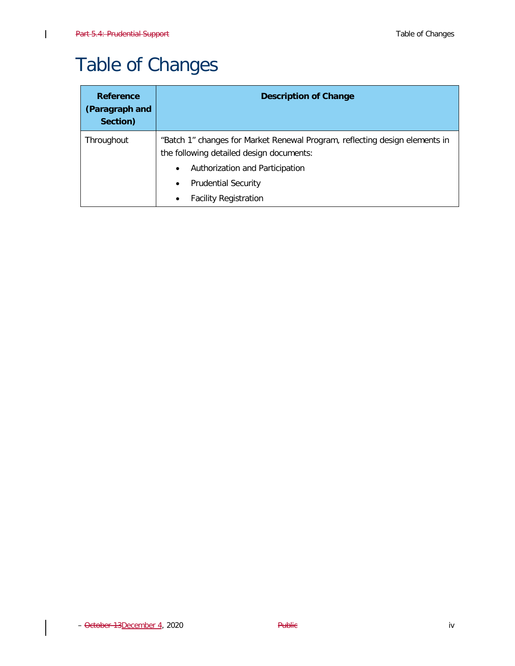$\overline{1}$ 

# <span id="page-6-0"></span>Table of Changes

| Reference<br>(Paragraph and<br>Section) | <b>Description of Change</b>                                                                                                                                            |  |  |  |
|-----------------------------------------|-------------------------------------------------------------------------------------------------------------------------------------------------------------------------|--|--|--|
| Throughout                              | "Batch 1" changes for Market Renewal Program, reflecting design elements in<br>the following detailed design documents:<br>Authorization and Participation<br>$\bullet$ |  |  |  |
|                                         | <b>Prudential Security</b><br>٠<br><b>Facility Registration</b>                                                                                                         |  |  |  |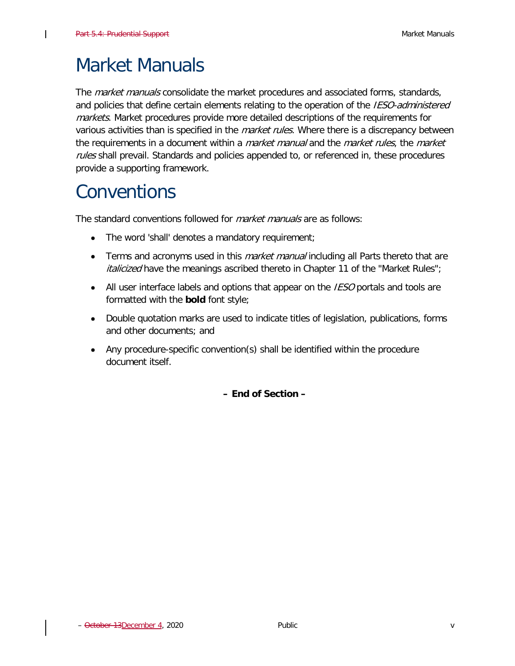$\mathsf{l}$ 

# <span id="page-7-0"></span>Market Manuals

The *market manuals* consolidate the market procedures and associated forms, standards, and policies that define certain elements relating to the operation of the *IESO-administered* markets. Market procedures provide more detailed descriptions of the requirements for various activities than is specified in the *market rules*. Where there is a discrepancy between the requirements in a document within a *market manual* and the *market rules*, the market rules shall prevail. Standards and policies appended to, or referenced in, these procedures provide a supporting framework.

# <span id="page-7-1"></span>**Conventions**

The standard conventions followed for *market manuals* are as follows:

- The word 'shall' denotes a mandatory requirement;
- Terms and acronyms used in this *market manual* including all Parts thereto that are *italicized* have the meanings ascribed thereto in Chapter 11 of the "Market Rules";
- All user interface labels and options that appear on the *IESO* portals and tools are formatted with the **bold** font style;
- Double quotation marks are used to indicate titles of legislation, publications, forms and other documents; and
- Any procedure-specific convention(s) shall be identified within the procedure document itself.

**– End of Section –**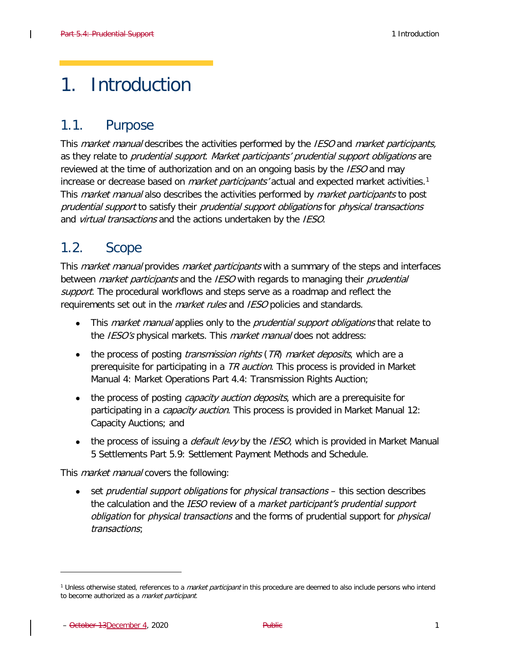# <span id="page-8-0"></span>1. Introduction

# <span id="page-8-1"></span>1.1. Purpose

This *market manual* describes the activities performed by the *IESO* and *market participants*, as they relate to prudential support. Market participants' prudential support obligations are reviewed at the time of authorization and on an ongoing basis by the IESO and may increase or decrease based on *market participants'* actual and expected market activities.<sup>1</sup> This *market manual* also describes the activities performed by *market participants* to post prudential support to satisfy their prudential support obligations for physical transactions and *virtual transactions* and the actions undertaken by the *IESO*.

# <span id="page-8-2"></span>1.2. Scope

This *market manual* provides *market participants* with a summary of the steps and interfaces between *market participants* and the *IESO* with regards to managing their *prudential* support. The procedural workflows and steps serve as a roadmap and reflect the requirements set out in the *market rules* and IESO policies and standards.

- This *market manual* applies only to the *prudential support obligations* that relate to the IESO's physical markets. This market manual does not address:
- the process of posting *transmission rights* ( $TR$ ) *market deposits*, which are a prerequisite for participating in a TR auction. This process is provided in [Market](http://www.ieso.ca/-/media/Files/IESO/Document-Library/Market-Rules-and-Manuals-Library/market-manuals/market-operations/mo-TransmissionRights.pdf?la=en) [Manual 4: Market Operations Part 4.4: Transmission Rights Auction;](http://www.ieso.ca/-/media/Files/IESO/Document-Library/Market-Rules-and-Manuals-Library/market-manuals/market-operations/mo-TransmissionRights.pdf?la=en)
- the process of posting *capacity auction deposits*, which are a prerequisite for participating in a *capacity auction*. This process is provided in [Market Manual 12:](http://www.ieso.ca/-/media/Files/IESO/Document-Library/Market-Rules-and-Manuals-Library/market-manuals/capacity-auction/Capacity-Auction.pdf?la=en) [Capacity Auctions;](http://www.ieso.ca/-/media/Files/IESO/Document-Library/Market-Rules-and-Manuals-Library/market-manuals/capacity-auction/Capacity-Auction.pdf?la=en) and
- the process of issuing a *default levy* by the *IESO*, which is provided in [Market Manual](http://www.ieso.ca/-/media/Files/IESO/Document-Library/Market-Rules-and-Manuals-Library/market-manuals/settlements/se-PaymentMethods.pdf?la=en) [5 Settlements Part 5.9: Settlement Payment Methods and Schedule.](http://www.ieso.ca/-/media/Files/IESO/Document-Library/Market-Rules-and-Manuals-Library/market-manuals/settlements/se-PaymentMethods.pdf?la=en)

This *market manual* covers the following:

• set *prudential support obligations* for *physical transactions* – this section describes the calculation and the IESO review of a market participant's prudential support obligation for *physical transactions* and the forms of prudential support for *physical* transactions;

<span id="page-8-3"></span><sup>&</sup>lt;sup>1</sup> Unless otherwise stated, references to a *market participant* in this procedure are deemed to also include persons who intend to become authorized as a *market participant*.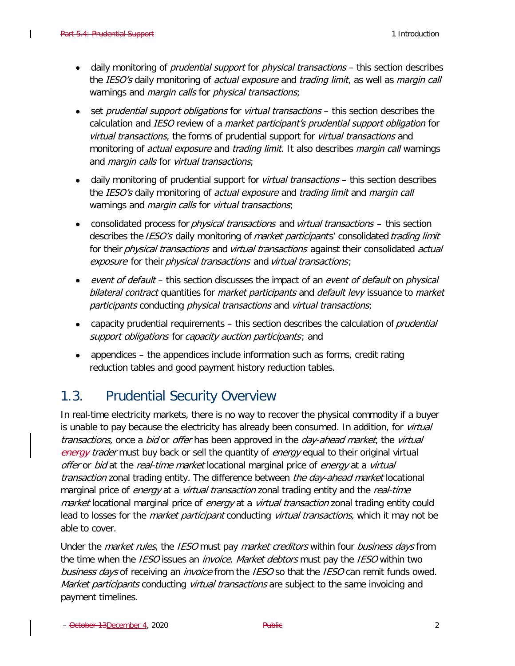- daily monitoring of *prudential support* for *physical transactions* this section describes the IESO's daily monitoring of *actual exposure* and *trading limit*, as well as *margin call* warnings and *margin calls* for *physical transactions*;
- set *prudential support obligations* for *virtual transactions* this section describes the calculation and *IESO* review of a *market participant's prudential support obligation* for virtual transactions, the forms of prudential support for *virtual transactions* and monitoring of *actual exposure* and *trading limit*. It also describes *margin call* warnings and *margin calls* for *virtual transactions*;
- daily monitoring of prudential support for virtual transactions this section describes the *IESO's* daily monitoring of *actual exposure* and *trading limit* and *margin call* warnings and *margin calls* for *virtual transactions*;
- consolidated process for physical transactions and virtual transactions this section describes the *IESO's* daily monitoring of *market participants'* consolidated *trading limit* for their physical transactions and virtual transactions against their consolidated actual exposure for their physical transactions and virtual transactions;
- event of default this section discusses the impact of an event of default on physical bilateral contract quantities for *market participants* and *default levy* issuance to *market* participants conducting physical transactions and virtual transactions;
- capacity prudential requirements this section describes the calculation of *prudential* support obligations for capacity auction participants; and
- appendices the appendices include information such as forms, credit rating reduction tables and good payment history reduction tables.

# <span id="page-9-0"></span>1.3. Prudential Security Overview

In real-time electricity markets, there is no way to recover the physical commodity if a buyer is unable to pay because the electricity has already been consumed. In addition, for *virtual* transactions, once a bid or offer has been approved in the day-ahead market, the virtual energy trader must buy back or sell the quantity of energy equal to their original virtual offer or bid at the real-time market locational marginal price of energy at a virtual transaction zonal trading entity. The difference between the day-ahead market locational marginal price of *energy* at a *virtual transaction* zonal trading entity and the *real-time* market locational marginal price of energy at a *virtual transaction* zonal trading entity could lead to losses for the *market participant* conducting *virtual transactions*, which it may not be able to cover.

Under the *market rules*, the IESO must pay *market creditors* within four *business days* from the time when the IESO issues an *invoice. Market debtors* must pay the IESO within two business days of receiving an *invoice* from the IESO so that the IESO can remit funds owed. Market participants conducting virtual transactions are subject to the same invoicing and payment timelines.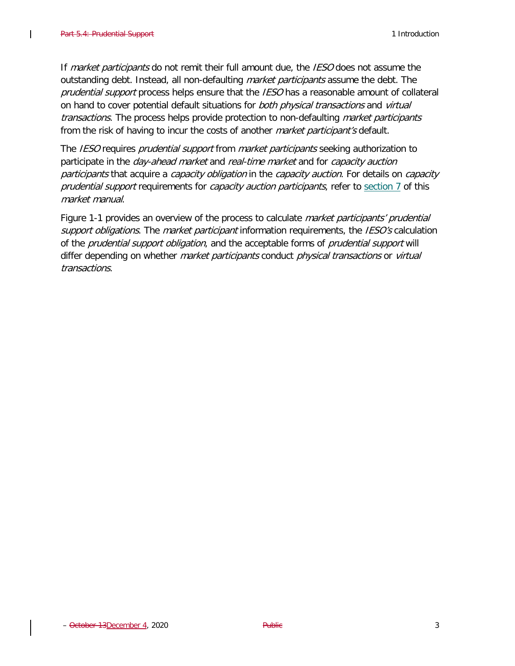$\mathsf{l}$ 

If market participants do not remit their full amount due, the IESO does not assume the outstanding debt. Instead, all non-defaulting *market participants* assume the debt. The prudential support process helps ensure that the IESO has a reasonable amount of collateral on hand to cover potential default situations for both physical transactions and virtual transactions. The process helps provide protection to non-defaulting market participants from the risk of having to incur the costs of another *market participant's* default.

The IESO requires *prudential support* from *market participants* seeking authorization to participate in the *day-ahead market* and *real-time market* and for *capacity auction* participants that acquire a capacity obligation in the capacity auction. For details on capacity prudential support requirements for *capacity auction participants*, refer to [section 7](#page-63-1) of this market manual.

[Figure 1-1](#page-12-0) provides an overview of the process to calculate *market participants' prudential* support obligations. The market participant information requirements, the IESO's calculation of the *prudential support obligation*, and the acceptable forms of *prudential support* will differ depending on whether *market participants* conduct *physical transactions* or *virtual* transactions.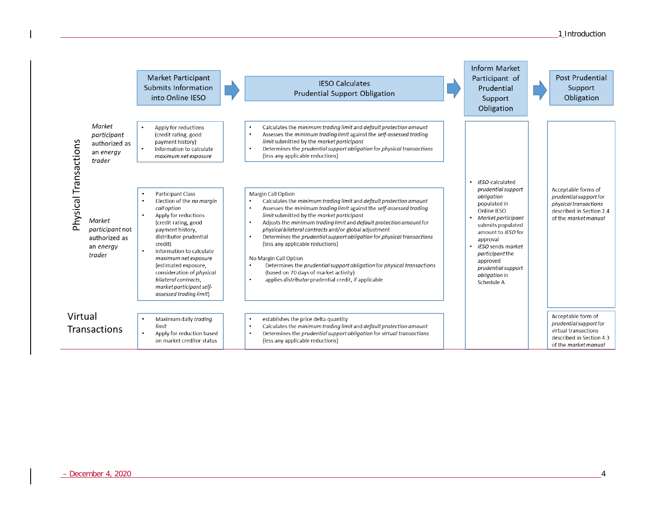|                       |                                                                   | Market Participant<br>Submits Information<br>into Online IESO                                                                                                                                                                                                                                                                                                                      | <b>IESO Calculates</b><br>Prudential Support Obligation                                                                                                                                                                                                                                                                                                                                                                                                                                                                                                                                                                                                                                                                               | Inform Market<br>Participant of<br>Prudential<br>Support<br>Obligation                                                                                                                                                                                                         | Post Prudential<br>Support<br>Obligation                                                                                   |
|-----------------------|-------------------------------------------------------------------|------------------------------------------------------------------------------------------------------------------------------------------------------------------------------------------------------------------------------------------------------------------------------------------------------------------------------------------------------------------------------------|---------------------------------------------------------------------------------------------------------------------------------------------------------------------------------------------------------------------------------------------------------------------------------------------------------------------------------------------------------------------------------------------------------------------------------------------------------------------------------------------------------------------------------------------------------------------------------------------------------------------------------------------------------------------------------------------------------------------------------------|--------------------------------------------------------------------------------------------------------------------------------------------------------------------------------------------------------------------------------------------------------------------------------|----------------------------------------------------------------------------------------------------------------------------|
|                       | Market<br>participant<br>authorized as<br>an energy<br>trader     | Apply for reductions<br>$\bullet$<br>(credit rating, good<br>payment history)<br>$\bullet$<br>Information to calculate<br>maximum net exposure                                                                                                                                                                                                                                     | Calculates the minimum trading limit and default protection amount<br>$\bullet$<br>Assesses the minimum trading limit against the self-assessed trading<br>٠<br>limit submitted by the market participant<br>Determines the prudential support obligation for physical transactions<br>$\bullet$<br>(less any applicable reductions)                                                                                                                                                                                                                                                                                                                                                                                                  |                                                                                                                                                                                                                                                                                |                                                                                                                            |
| Physical Transactions | Market<br>participant not<br>authorized as<br>an energy<br>trader | Participant Class<br>Election of the no marain<br>$\bullet$<br>call option<br>Apply for reductions<br>(credit rating, good<br>payment history,<br>distributor prudential<br>credit)<br>Information to calculate<br>maximum net exposure<br>(estimated exposure,<br>consideration of <i>physical</i><br>bilateral contracts,<br>market participant self-<br>assessed trading limit) | Margin Call Option<br>Calculates the minimum trading limit and default protection amount<br>$\bullet$<br>Assesses the minimum trading limit against the self-assessed trading<br>٠<br>limit submitted by the market participant<br>Adjusts the minimum trading limit and default protection amount for<br>$\bullet$<br>physical bilateral contracts and/or global adjustment<br>Determines the prudential support obligation for physical transactions<br>$\bullet$<br>(less any applicable reductions)<br>No Margin Call Option<br>Determines the prudential support obligation for physical transactions<br>$\bullet$<br>(based on 70 days of market activity)<br>applies distributor prudential credit, if applicable<br>$\bullet$ | · IESO-calculated<br>prudential support<br>obligation<br>populated in<br>Online IESO<br>• Market participant<br>submits populated<br>amount to IESO for<br>approval<br>• IESO sends market<br>participant the<br>approved<br>prudential support<br>obligation in<br>Schedule A | Acceptable forms of<br>prudential support for<br>physical transactions<br>described in Section 2.4<br>of the market manual |
| Virtual               | Transactions                                                      | Maximum daily trading<br>limit<br>Apply for reduction based<br>on market creditor status                                                                                                                                                                                                                                                                                           | establishes the price delta quantity<br>$\bullet$<br>Calculates the minimum trading limit and default protection amount<br>$\bullet$<br>Determines the prudential support obligation for virtual transactions<br>$\bullet$<br>(less any applicable reductions)                                                                                                                                                                                                                                                                                                                                                                                                                                                                        |                                                                                                                                                                                                                                                                                | Acceptable form of<br>prudential support for<br>virtual transactions<br>described in Section 4.3<br>of the market manual   |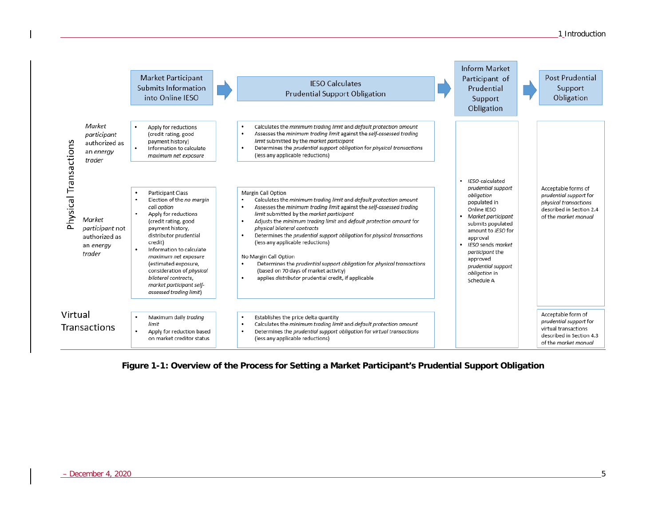

<span id="page-12-0"></span>**Figure 1-1: Overview of the Process for Setting a Market Participant's Prudential Support Obligation**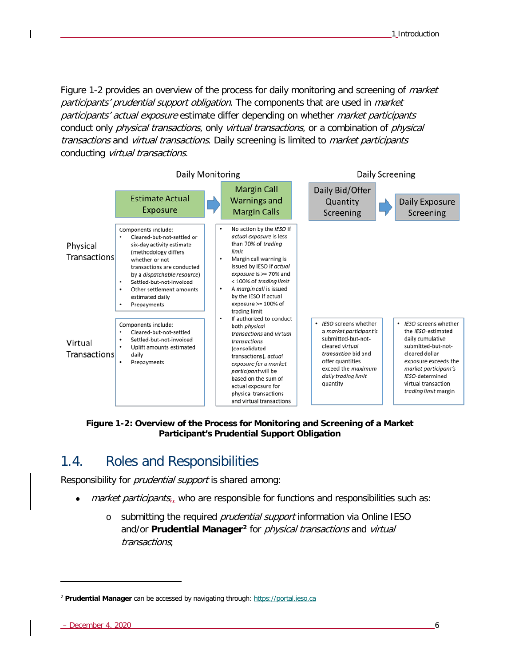[Figure 1-2](#page-13-1) provides an overview of the process for daily monitoring and screening of *market* participants' prudential support obligation. The components that are used in *market* participants' actual exposure estimate differ depending on whether market participants conduct only *physical transactions*, only virtual transactions, or a combination of *physical* transactions and virtual transactions. Daily screening is limited to *market participants* conducting virtual transactions.



<span id="page-13-1"></span>**Figure 1-2: Overview of the Process for Monitoring and Screening of a Market Participant's Prudential Support Obligation**

# <span id="page-13-0"></span>1.4. Roles and Responsibilities

Responsibility for *prudential support* is shared among:

- *market participants<sub>r</sub>*, who are responsible for functions and responsibilities such as:
	- o submitting the required *prudential support* information via Online IESO and/or **Prudential Manager[2](#page-13-2)** for physical transactions and virtual transactions;

ł

<span id="page-13-2"></span><sup>2</sup> **Prudential Manager** can be accessed by navigating through: [https://portal.ieso.ca](https://portal.ieso.ca/)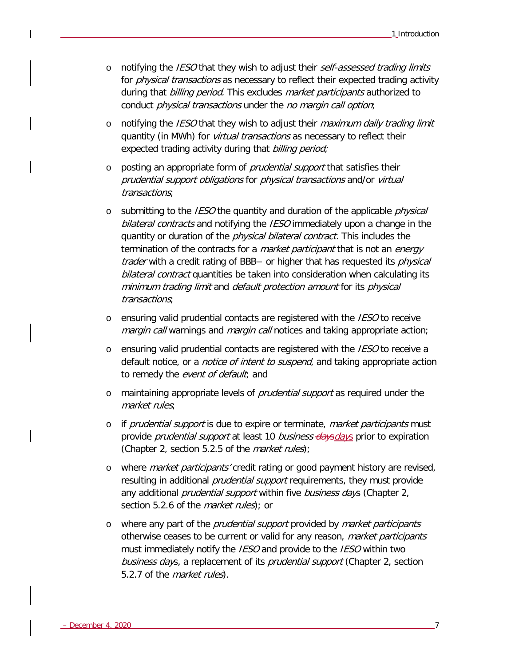- o notifying the IESO that they wish to adjust their self-assessed trading limits for *physical transactions* as necessary to reflect their expected trading activity during that billing period. This excludes market participants authorized to conduct physical transactions under the no margin call option;
- $\circ$  notifying the *IESO* that they wish to adjust their *maximum daily trading limit* quantity (in MWh) for *virtual transactions* as necessary to reflect their expected trading activity during that *billing period;*
- o posting an appropriate form of *prudential support* that satisfies their prudential support obligations for physical transactions and/or virtual transactions;
- $\circ$  submitting to the *IESO* the quantity and duration of the applicable *physical* bilateral contracts and notifying the IESO immediately upon a change in the quantity or duration of the *physical bilateral contract*. This includes the termination of the contracts for a *market participant* that is not an *energy trader* with a credit rating of BBB– or higher that has requested its *physical* bilateral contract quantities be taken into consideration when calculating its minimum trading limit and default protection amount for its physical transactions;
- $\circ$  ensuring valid prudential contacts are registered with the *IESO* to receive margin call warnings and margin call notices and taking appropriate action;
- o ensuring valid prudential contacts are registered with the IESO to receive a default notice, or a *notice of intent to suspend*, and taking appropriate action to remedy the event of default; and
- o maintaining appropriate levels of prudential support as required under the market rules;
- o if *prudential support* is due to expire or terminate, *market participants* must provide *prudential support* at least 10 *business days days* prior to expiration (Chapter 2, section 5.2.5 of the *market rules*);
- o where *market participants'* credit rating or good payment history are revised, resulting in additional *prudential support* requirements, they must provide any additional *prudential support* within five business days (Chapter 2, section 5.2.6 of the *market rules*); or
- o where any part of the *prudential support* provided by *market participants* otherwise ceases to be current or valid for any reason, market participants must immediately notify the *IESO* and provide to the *IESO* within two business days, a replacement of its *prudential support* (Chapter 2, section 5.2.7 of the *market rules*).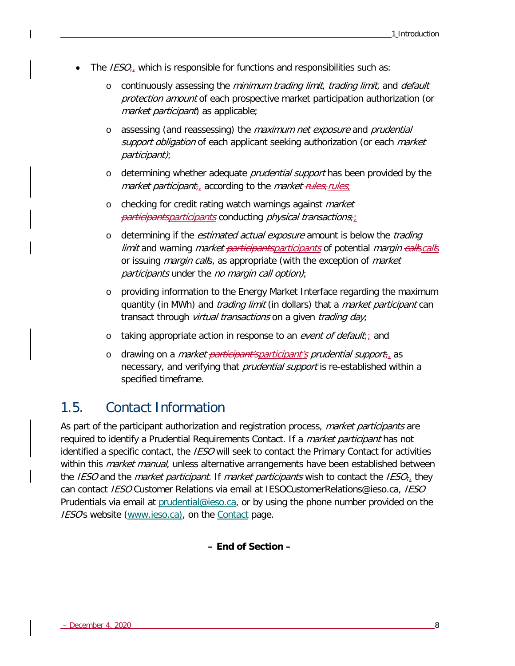- The  $\textit{IESO}_{\tau_{\perp}}$  which is responsible for functions and responsibilities such as:
	- $\circ$  continuously assessing the *minimum trading limit, trading limit,* and *default* protection amount of each prospective market participation authorization (or market participant) as applicable;
	- o assessing (and reassessing) the maximum net exposure and prudential support obligation of each applicant seeking authorization (or each market participant);
	- o determining whether adequate *prudential support* has been provided by the market participant<sub> $t_{\mu}$ </sub> according to the market rules; rules;
	- o checking for credit rating watch warnings against *market*  $participants$  participants conducting physical transactions;
	- o determining if the *estimated actual exposure* amount is below the *trading limit* and warning *market <del>participants</del>participants* of potential *margin callscalls* or issuing *margin calls*, as appropriate (with the exception of *market* participants under the no margin call option);
	- o providing information to the Energy Market Interface regarding the maximum quantity (in MWh) and *trading limit* (in dollars) that a *market participant* can transact through virtual transactions on a given trading day;
	- o taking appropriate action in response to an event of default; and
	- o drawing on a *market <del>participant's</del>participant's prudential support*<sub>1</sub> as necessary, and verifying that *prudential support* is re-established within a specified timeframe.

# <span id="page-15-0"></span>1.5. Contact Information

As part of the participant authorization and registration process, *market participants* are required to identify a Prudential Requirements Contact. If a *market participant* has not identified a specific contact, the *IESO* will seek to contact the Primary Contact for activities within this market manual, unless alternative arrangements have been established between the IESO and the *market participant*. If *market participants* wish to contact the IESO<sub> $\tau$ </sub> they can contact IESO Customer Relations via email at IESOCustomerRelations@ieso.ca, IESO Prudentials via email at [prudential@ieso.ca,](mailto:prudential@ieso.ca) or by using the phone number provided on the IESO's website [\(www.ieso.ca\)](http://www.ieso.ca/), on the [Contact](http://www.ieso.ca/en/Corporate-IESO/Contact) page.

**– End of Section –**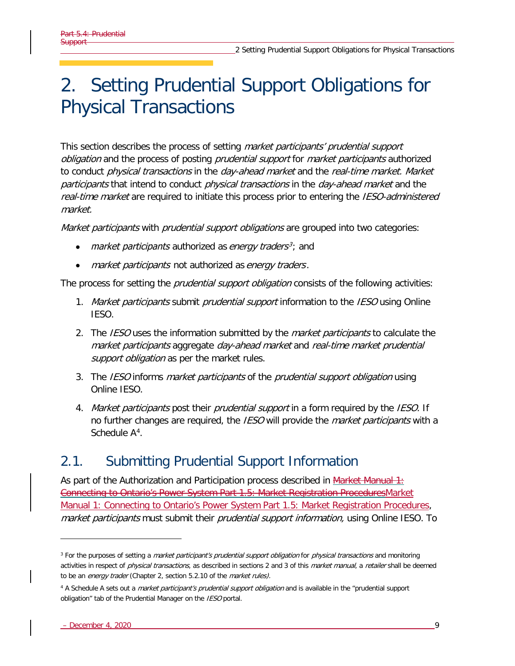# <span id="page-16-0"></span>2. Setting Prudential Support Obligations for Physical Transactions

This section describes the process of setting *market participants' prudential support* obligation and the process of posting *prudential support* for *market participants* authorized to conduct *physical transactions* in the *day-ahead market* and the *real-time market. Market* participants that intend to conduct physical transactions in the day-ahead market and the real-time market are required to initiate this process prior to entering the IESO-administered market.

Market participants with prudential support obligations are grouped into two categories:

- market participants authorized as energy traders<sup>[3](#page-16-2)</sup>; and
- market participants not authorized as energy traders.

The process for setting the *prudential support obligation* consists of the following activities:

- 1. Market participants submit prudential support information to the IESO using Online IESO.
- 2. The IESO uses the information submitted by the *market participants* to calculate the market participants aggregate day-ahead market and real-time market prudential support obligation as per the market rules.
- 3. The IESO informs *market participants* of the *prudential support obligation* using Online IESO.
- 4. Market participants post their prudential support in a form required by the IESO. If no further changes are required, the IESO will provide the *market participants* with a Schedule A<sup>[4](#page-16-3)</sup>.

# <span id="page-16-1"></span>2.1. Submitting Prudential Support Information

As part of the Authorization and Participation process described in  $M$ arket Manual 1: Connecting to Ontario's Power System Part 1.5: Market Registration Procedure[sMarket](https://www.ieso.ca/-/media/Files/IESO/Document-Library/Market-Rules-and-Manuals-Library/market-manuals/connecting/market-registration.ashx)  [Manual 1: Connecting to Ontario's Power System Part 1.5: Market Registration Procedures,](https://www.ieso.ca/-/media/Files/IESO/Document-Library/Market-Rules-and-Manuals-Library/market-manuals/connecting/market-registration.ashx) market participants must submit their prudential support information, using Online IESO. To

<span id="page-16-2"></span><sup>&</sup>lt;sup>3</sup> For the purposes of setting a *market participant's prudential support obligation* for *physical transactions* and monitoring activities in respect of *physical transactions*, as described in sections 2 and 3 of this *market manual*, a retailer shall be deemed to be an energy trader (Chapter 2, section 5.2.10 of the market rules).

<span id="page-16-3"></span><sup>&</sup>lt;sup>4</sup> A Schedule A sets out a *market participant's prudential support obligation* and is available in the "prudential support obligation" tab of the Prudential Manager on the IESO portal.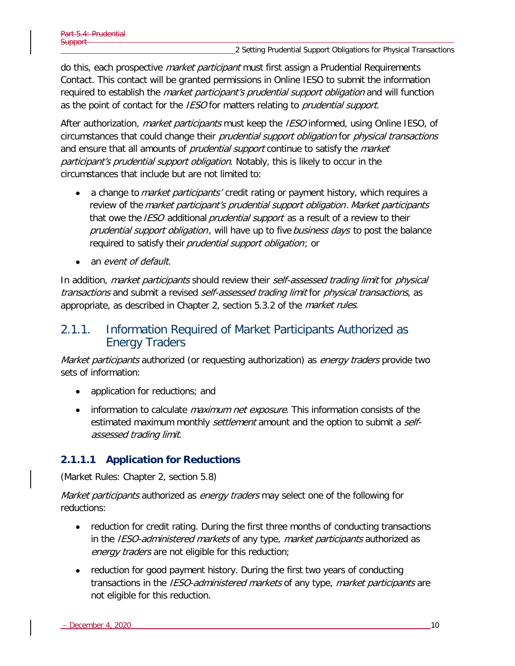do this, each prospective *market participant* must first assign a Prudential Requirements Contact. This contact will be granted permissions in Online IESO to submit the information required to establish the *market participant's prudential support obligation* and will function as the point of contact for the *IESO* for matters relating to *prudential support*.

After authorization, *market participants* must keep the *IESO* informed, using Online IESO, of circumstances that could change their *prudential support obligation* for *physical transactions* and ensure that all amounts of *prudential support* continue to satisfy the *market* participant's prudential support obligation. Notably, this is likely to occur in the circumstances that include but are not limited to:

- a change to market participants' credit rating or payment history, which requires a review of the *market participant's prudential support obligation. Market participants* that owe the *IESO* additional *prudential support* as a result of a review to their prudential support obligation, will have up to five business days to post the balance required to satisfy their *prudential support obligation*; or
- an *event of default*.

In addition, *market participants* should review their *self-assessed trading limit* for *physical* transactions and submit a revised self-assessed trading limit for physical transactions, as appropriate, as described in Chapter 2, section 5.3.2 of the *market rules*.

## <span id="page-17-0"></span>2.1.1. Information Required of Market Participants Authorized as Energy Traders

Market participants authorized (or requesting authorization) as energy traders provide two sets of information:

- application for reductions; and
- information to calculate *maximum net exposure*. This information consists of the estimated maximum monthly *settlement* amount and the option to submit a *self*assessed trading limit.

### **2.1.1.1 Application for Reductions**

(Market Rules: Chapter 2, section 5.8)

Market participants authorized as energy traders may select one of the following for reductions:

- reduction for credit rating. During the first three months of conducting transactions in the IESO-administered markets of any type, market participants authorized as energy traders are not eligible for this reduction;
- reduction for good payment history. During the first two years of conducting transactions in the IESO-administered markets of any type, market participants are not eligible for this reduction.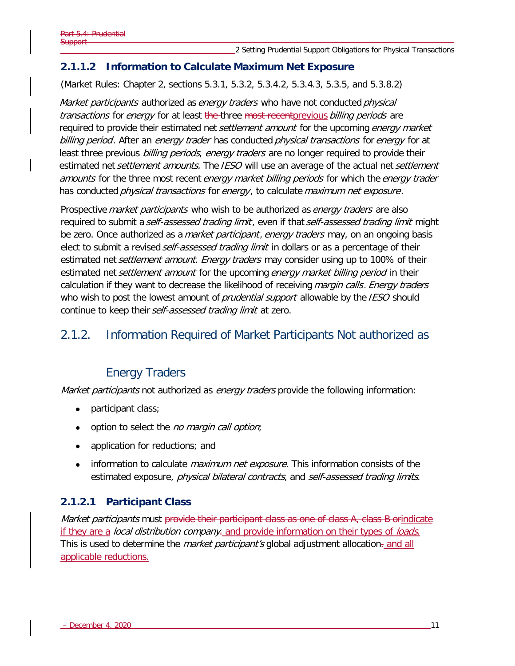### **2.1.1.2 Information to Calculate Maximum Net Exposure**

(Market Rules: Chapter 2, sections 5.3.1, 5.3.2, 5.3.4.2, 5.3.4.3, 5.3.5, and 5.3.8.2)

Market participants authorized as energy traders who have not conducted physical transactions for energy for at least the three most recent previous billing periods are required to provide their estimated net *settlement amount* for the upcoming *energy market* billing period. After an energy trader has conducted physical transactions for energy for at least three previous billing periods, energy traders are no longer required to provide their estimated net *settlement amounts.* The IESO will use an average of the actual net *settlement* amounts for the three most recent energy market billing periods for which the energy trader has conducted *physical transactions* for *energy*, to calculate *maximum net exposure*.

Prospective *market participants* who wish to be authorized as *energy traders* are also required to submit a self-assessed trading limit, even if that self-assessed trading limit might be zero. Once authorized as a *market participant, energy traders* may, on an ongoing basis elect to submit a revised *self-assessed trading limit* in dollars or as a percentage of their estimated net *settlement amount. Energy traders* may consider using up to 100% of their estimated net settlement amount for the upcoming energy market billing period in their calculation if they want to decrease the likelihood of receiving margin calls. Energy traders who wish to post the lowest amount of *prudential support* allowable by the IESO should continue to keep their self-assessed trading limit at zero.

## <span id="page-18-0"></span>2.1.2. Information Required of Market Participants Not authorized as

## Energy Traders

Market participants not authorized as energy traders provide the following information:

- participant class;
- option to select the *no margin call option*;
- application for reductions; and
- information to calculate *maximum net exposure*. This information consists of the estimated exposure, *physical bilateral contracts*, and *self-assessed trading limits.*

### **2.1.2.1 Participant Class**

Market participants must provide their participant class as one of class A, class B orindicate if they are a local distribution company. and provide information on their types of loads. This is used to determine the *market participant's* global adjustment allocation- and all applicable reductions.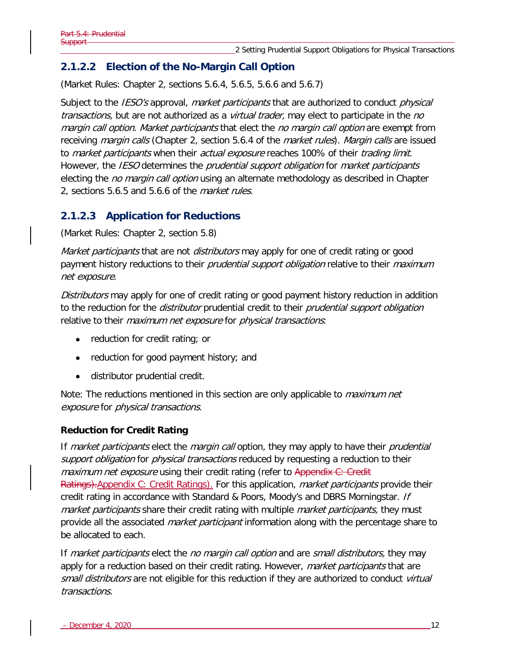## **2.1.2.2 Election of the No-Margin Call Option**

(Market Rules: Chapter 2, sections 5.6.4, 5.6.5, 5.6.6 and 5.6.7)

Subject to the *IESO's* approval, *market participants* that are authorized to conduct *physical* transactions, but are not authorized as a *virtual trader*, may elect to participate in the no margin call option. Market participants that elect the no margin call option are exempt from receiving *margin calls* (Chapter 2, section 5.6.4 of the *market rules). Margin calls* are issued to *market participants* when their *actual exposure* reaches 100% of their *trading limit.* However, the IESO determines the prudential support obligation for market participants electing the *no margin call option* using an alternate methodology as described in Chapter 2, sections 5.6.5 and 5.6.6 of the *market rules*.

### **2.1.2.3 Application for Reductions**

(Market Rules: Chapter 2, section 5.8)

Market participants that are not distributors may apply for one of credit rating or good payment history reductions to their *prudential support obligation* relative to their *maximum* net exposure.

Distributors may apply for one of credit rating or good payment history reduction in addition to the reduction for the *distributor* prudential credit to their *prudential support obligation* relative to their *maximum net exposure* for *physical transactions*:

- reduction for credit rating; or
- reduction for good payment history; and
- distributor prudential credit.

Note: The reductions mentioned in this section are only applicable to *maximum net* exposure for physical transactions.

#### **Reduction for Credit Rating**

If market participants elect the margin call option, they may apply to have their prudential support obligation for physical transactions reduced by requesting a reduction to their maximum net exposure using their credit rating (refer to Appendix C: Credit Ratings). Appendix C: Credit Ratings). For this application, *market participants* provide their credit rating in accordance with Standard & Poors, Moody's and DBRS Morningstar. If market participants share their credit rating with multiple *market participants*, they must provide all the associated *market participant* information along with the percentage share to be allocated to each.

If market participants elect the no margin call option and are small distributors, they may apply for a reduction based on their credit rating. However, *market participants* that are small distributors are not eligible for this reduction if they are authorized to conduct virtual transactions.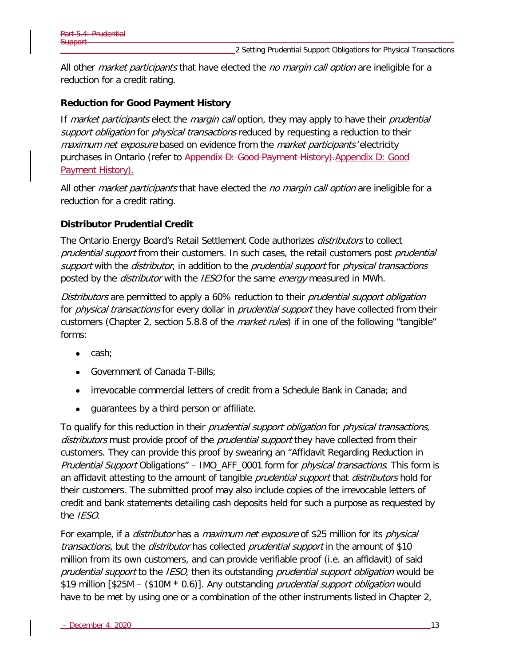All other *market participants* that have elected the *no margin call option* are ineligible for a reduction for a credit rating.

#### **Reduction for Good Payment History**

If market participants elect the margin call option, they may apply to have their prudential support obligation for physical transactions reduced by requesting a reduction to their maximum net exposure based on evidence from the market participants' electricity purchases in Ontario (refer to Appendix D: Good Payment History)[.Appendix D:](#page-69-0) Good [Payment History\)](#page-69-0).

All other *market participants* that have elected the *no margin call option* are ineligible for a reduction for a credit rating.

#### **Distributor Prudential Credit**

The Ontario Energy Board's Retail Settlement Code authorizes distributors to collect prudential support from their customers. In such cases, the retail customers post prudential support with the *distributor*, in addition to the *prudential support* for *physical transactions* posted by the *distributor* with the *IESO* for the same *energy* measured in MWh.

Distributors are permitted to apply a 60% reduction to their *prudential support obligation* for *physical transactions* for every dollar in *prudential support* they have collected from their customers (Chapter 2, section 5.8.8 of the *market rules*) if in one of the following "tangible" forms:

- cash;
- Government of Canada T-Bills;
- irrevocable commercial letters of credit from a Schedule Bank in Canada; and
- guarantees by a third person or affiliate.

To qualify for this reduction in their *prudential support obligation* for *physical transactions*, distributors must provide proof of the *prudential support* they have collected from their customers. They can provide this proof by swearing an "Affidavit Regarding Reduction in Prudential Support Obligations" – IMO\_AFF\_0001 form for physical transactions. This form is an affidavit attesting to the amount of tangible *prudential support* that *distributors* hold for their customers. The submitted proof may also include copies of the irrevocable letters of credit and bank statements detailing cash deposits held for such a purpose as requested by the *IESO*.

For example, if a *distributor* has a *maximum net exposure* of \$25 million for its *physical* transactions, but the *distributor* has collected *prudential support* in the amount of \$10 million from its own customers, and can provide verifiable proof (i.e. an affidavit) of said prudential support to the IESO, then its outstanding prudential support obligation would be \$19 million [\$25M – (\$10M \* 0.6)]. Any outstanding *prudential support obligation* would have to be met by using one or a combination of the other instruments listed in Chapter 2,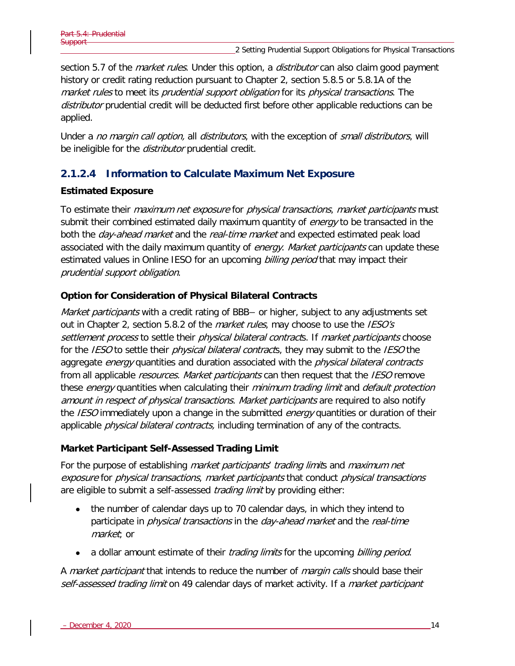section 5.7 of the *market rules*. Under this option, a *distributor* can also claim good payment history or credit rating reduction pursuant to Chapter 2, section 5.8.5 or 5.8.1A of the market rules to meet its prudential support obligation for its physical transactions. The distributor prudential credit will be deducted first before other applicable reductions can be applied.

Under a no margin call option, all distributors, with the exception of small distributors, will be ineligible for the *distributor* prudential credit.

## <span id="page-21-0"></span>**2.1.2.4 Information to Calculate Maximum Net Exposure**

#### **Estimated Exposure**

To estimate their *maximum net exposure* for *physical transactions, market participants* must submit their combined estimated daily maximum quantity of *energy* to be transacted in the both the *day-ahead market* and the *real-time market* and expected estimated peak load associated with the daily maximum quantity of *energy. Market participants* can update these estimated values in Online IESO for an upcoming billing period that may impact their prudential support obligation.

#### **Option for Consideration of Physical Bilateral Contracts**

Market participants with a credit rating of BBB– or higher, subject to any adjustments set out in Chapter 2, section 5.8.2 of the *market rules*, may choose to use the *IESO's* settlement process to settle their physical bilateral contracts. If market participants choose for the *IESO* to settle their *physical bilateral contract*s, they may submit to the *IESO* the aggregate *energy* quantities and duration associated with the *physical bilateral contracts* from all applicable *resources. Market participants* can then request that the *IESO* remove these energy quantities when calculating their minimum trading limit and default protection amount in respect of physical transactions. Market participants are required to also notify the *IESO* immediately upon a change in the submitted *energy* quantities or duration of their applicable *physical bilateral contracts*, including termination of any of the contracts.

#### **Market Participant Self-Assessed Trading Limit**

For the purpose of establishing *market participants' trading limits* and *maximum net* exposure for physical transactions, market participants that conduct physical transactions are eligible to submit a self-assessed *trading limit* by providing either:

- the number of calendar days up to 70 calendar days, in which they intend to participate in *physical transactions* in the *day-ahead market* and the *real-time* market; or
- a dollar amount estimate of their *trading limits* for the upcoming *billing period.*

A *market participant* that intends to reduce the number of *margin calls* should base their self-assessed trading limit on 49 calendar days of market activity. If a market participant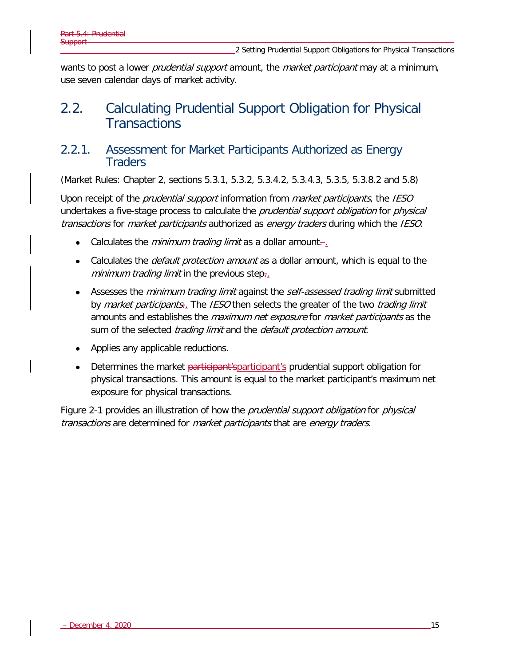wants to post a lower *prudential support* amount, the *market participant* may at a minimum, use seven calendar days of market activity.

# <span id="page-22-0"></span>2.2. Calculating Prudential Support Obligation for Physical **Transactions**

## <span id="page-22-1"></span>2.2.1. Assessment for Market Participants Authorized as Energy **Traders**

(Market Rules: Chapter 2, sections 5.3.1, 5.3.2, 5.3.4.2, 5.3.4.3, 5.3.5, 5.3.8.2 and 5.8)

Upon receipt of the *prudential support* information from *market participants*, the IESO undertakes a five-stage process to calculate the *prudential support obligation* for *physical* transactions for market participants authorized as energy traders during which the IESO:

- Calculates the *minimum trading limit* as a dollar amount $\frac{1}{r}$ .
- Calculates the *default protection amount* as a dollar amount, which is equal to the minimum trading limit in the previous step-.
- Assesses the *minimum trading limit* against the *self-assessed trading limit* submitted by *market participants*. The *IESO* then selects the greater of the two *trading limit* amounts and establishes the *maximum net exposure* for *market participants* as the sum of the selected *trading limit* and the *default protection amount*.
- Applies any applicable reductions.
- Determines the market <del>participant'sparticipant's</del> prudential support obligation for physical transactions. This amount is equal to the market participant's maximum net exposure for physical transactions.

[Figure 2-1](#page-23-0) provides an illustration of how the *prudential support obligation* for *physical* transactions are determined for *market participants* that are *energy traders*.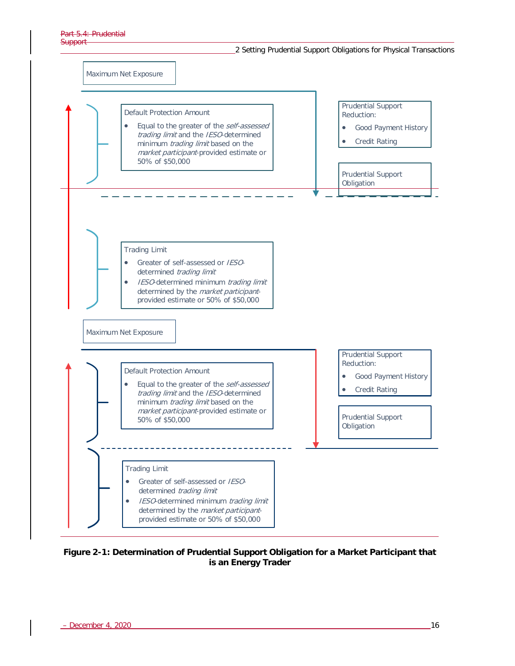

<span id="page-23-0"></span>**Figure 2-1: Determination of Prudential Support Obligation for a Market Participant that is an Energy Trader**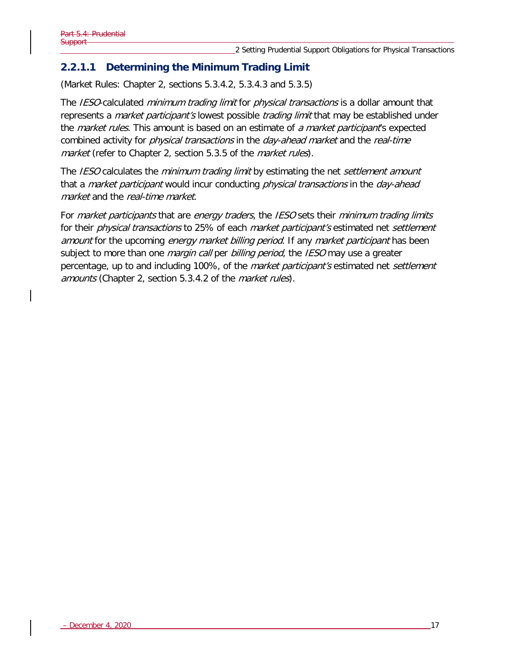## **2.2.1.1 Determining the Minimum Trading Limit**

(Market Rules: Chapter 2, sections 5.3.4.2, 5.3.4.3 and 5.3.5)

The IESO-calculated minimum trading limit for physical transactions is a dollar amount that represents a *market participant's* lowest possible *trading limit* that may be established under the *market rules*. This amount is based on an estimate of a market participant's expected combined activity for *physical transactions* in the *day-ahead market* and the *real-time* market (refer to Chapter 2, section 5.3.5 of the *market rules*).

The IESO calculates the minimum trading limit by estimating the net settlement amount that a *market participant* would incur conducting *physical transactions* in the *day-ahead* market and the real-time market.

For *market participants* that are *energy traders*, the *IESO* sets their *minimum trading limits* for their *physical transactions* to 25% of each *market participant's* estimated net *settlement* amount for the upcoming energy market billing period. If any market participant has been subject to more than one *margin call* per *billing period*, the *IESO* may use a greater percentage, up to and including 100%, of the *market participant's* estimated net *settlement* amounts (Chapter 2, section 5.3.4.2 of the market rules).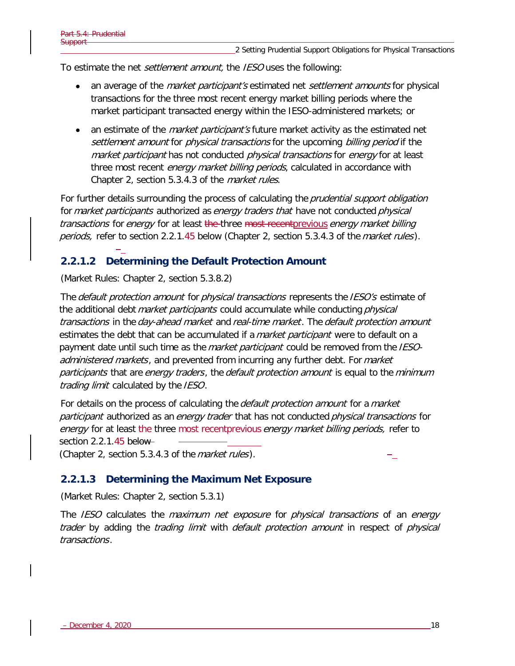To estimate the net *settlement amount*, the *IESO* uses the following:

- an average of the *market participant's* estimated net *settlement amounts* for physical transactions for the three most recent energy market billing periods where the market participant transacted energy within the IESO-administered markets; or
- an estimate of the *market participant's* future market activity as the estimated net settlement amount for *physical transactions* for the upcoming *billing period* if the market participant has not conducted *physical transactions* for *energy* for at least three most recent *energy market billing periods*, calculated in accordance with Chapter 2, section 5.3.4.3 of the market rules.

For further details surrounding the process of calculating the *prudential support obligation* for *market participants* authorized as *energy traders that* have not conducted *physical* transactions for energy for at least the three most recent previous energy market billing periods, refer to section 2.2.1.45 below (Chapter 2, section 5.3.4.3 of the market rules).

### **2.2.1.2 Determining the Default Protection Amount**

(Market Rules: Chapter 2, section 5.3.8.2)

The *default protection amount* for *physical transactions* represents the *IESO's* estimate of the additional debt *market participants* could accumulate while conducting *physical* transactions in the day-ahead market and real-time market. The default protection amount estimates the debt that can be accumulated if a *market participant* were to default on a payment date until such time as the *market participant* could be removed from the IESOadministered markets, and prevented from incurring any further debt. For market participants that are energy traders, the default protection amount is equal to the minimum trading limit calculated by the IESO.

For details on the process of calculating the *default protection amount* for a *market* participant authorized as an energy trader that has not conducted physical transactions for energy for at least the three most recent previous energy market billing periods, refer to section 2.2.1.45 below-

(Chapter 2, section 5.3.4.3 of the *market rules*).

#### **2.2.1.3 Determining the Maximum Net Exposure**

(Market Rules: Chapter 2, section 5.3.1)

The IESO calculates the maximum net exposure for physical transactions of an energy trader by adding the trading limit with default protection amount in respect of physical transactions .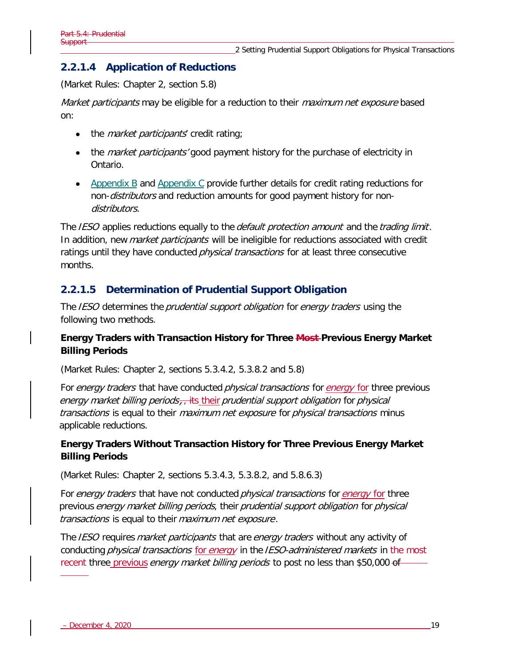## **2.2.1.4 Application of Reductions**

(Market Rules: Chapter 2, section 5.8)

Market participants may be eligible for a reduction to their *maximum net exposure* based on:

- the *market participants'* credit rating;
- the *market participants'* good payment history for the purchase of electricity in Ontario.
- [Appendix B](#page-67-0) and [Appendix C](#page-68-0) provide further details for credit rating reductions for non-*distributors* and reduction amounts for good payment history for nondistributors.

The IESO applies reductions equally to the *default protection amount* and the *trading limit*. In addition, new *market participants* will be ineligible for reductions associated with credit ratings until they have conducted *physical transactions* for at least three consecutive months.

## **2.2.1.5 Determination of Prudential Support Obligation**

The IESO determines the prudential support obligation for energy traders using the following two methods.

### **Energy Traders with Transaction History for Three Most Previous Energy Market Billing Periods**

(Market Rules: Chapter 2, sections 5.3.4.2, 5.3.8.2 and 5.8)

For energy traders that have conducted *physical transactions* for *energy* for three previous energy market billing periods $_{7}$ , its their prudential support obligation for physical transactions is equal to their *maximum net exposure* for *physical transactions* minus applicable reductions.

### **Energy Traders Without Transaction History for Three Previous Energy Market Billing Periods**

(Market Rules: Chapter 2, sections 5.3.4.3, 5.3.8.2, and 5.8.6.3)

For energy traders that have not conducted *physical transactions* for energy for three previous energy market billing periods, their prudential support obligation for physical transactions is equal to their maximum net exposure .

The IESO requires market participants that are energy traders without any activity of conducting *physical transactions* for *energy* in the IESO-administered markets in the most recent three previous *energy market billing periods* to post no less than \$50,000 of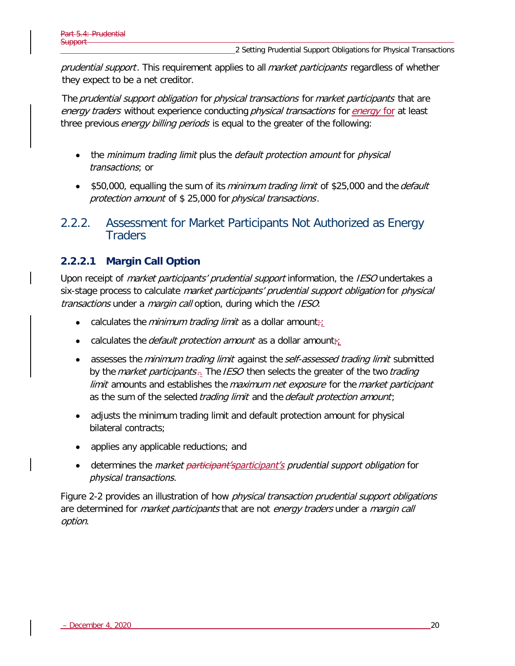prudential support. This requirement applies to all market participants regardless of whether they expect to be a net creditor.

The *prudential support obligation for physical transactions for market participants that are* energy traders without experience conducting *physical transactions* for *energy* for at least three previous *energy billing periods* is equal to the greater of the following:

- the *minimum trading limit* plus the *default protection amount* for *physical* transactions; or
- \$50,000, equalling the sum of its *minimum trading limit* of \$25,000 and the *default* protection amount of \$ 25,000 for physical transactions .

<span id="page-27-0"></span>2.2.2. Assessment for Market Participants Not Authorized as Energy **Traders** 

### **2.2.2.1 Margin Call Option**

Upon receipt of *market participants' prudential support* information, the IESO undertakes a six-stage process to calculate market participants' prudential support obligation for physical transactions under a *margin call* option, during which the IESO:

- calculates the *minimum trading limit* as a dollar amount $\ddot{\tau}$ .
- calculates the *default protection amount* as a dollar amount $\ddot{\tau}$
- assesses the *minimum trading limit* against the *self-assessed trading limit* submitted by the *market participants*.<sup>7</sup> The IESO then selects the greater of the two *trading* limit amounts and establishes the maximum net exposure for the market participant as the sum of the selected trading limit and the default protection amount;
- adjusts the minimum trading limit and default protection amount for physical bilateral contracts;
- applies any applicable reductions; and
- determines the *market <del>participant'sparticipant's</del> prudential support obligation* for physical transactions.

Figure 2-2 provides an illustration of how *physical transaction prudential support obligations* are determined for *market participants* that are not *energy traders* under a *margin call* option.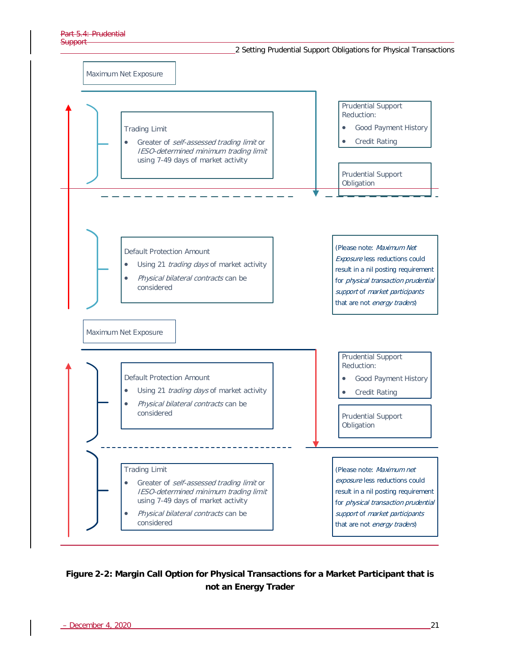

#### <span id="page-28-0"></span>**Figure 2-2: Margin Call Option for Physical Transactions for a Market Participant that is not an Energy Trader**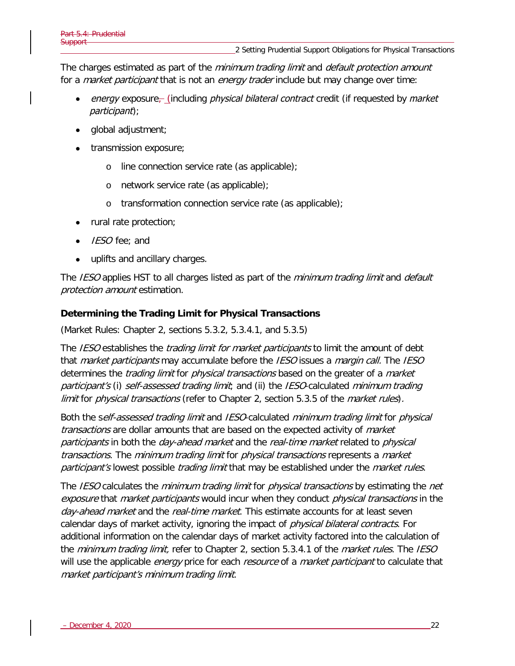The charges estimated as part of the *minimum trading limit* and *default protection amount* for a *market participant* that is not an *energy trader* include but may change over time:

- energy exposure<sub> $\Gamma$ </sub> (including *physical bilateral contract* credit (if requested by *market* participant);
- global adjustment;
- transmission exposure;
	- o line connection service rate (as applicable);
	- o network service rate (as applicable);
	- o transformation connection service rate (as applicable);
- rural rate protection;
- IESO fee; and
- uplifts and ancillary charges.

The IESO applies HST to all charges listed as part of the *minimum trading limit* and *default* protection amount estimation.

#### **Determining the Trading Limit for Physical Transactions**

(Market Rules: Chapter 2, sections 5.3.2, 5.3.4.1, and 5.3.5)

The IESO establishes the *trading limit for market participants* to limit the amount of debt that market participants may accumulate before the IESO issues a margin call. The IESO determines the *trading limit* for *physical transactions* based on the greater of a *market* participant's (i) self-assessed trading limit, and (ii) the IESO-calculated minimum trading limit for *physical transactions* (refer to Chapter 2, section 5.3.5 of the *market rules*).

Both the self-assessed trading limit and IESO-calculated minimum trading limit for physical transactions are dollar amounts that are based on the expected activity of market participants in both the day-ahead market and the real-time market related to physical transactions. The minimum trading limit for physical transactions represents a market participant's lowest possible *trading limit* that may be established under the *market rules*.

The IESO calculates the *minimum trading limit* for *physical transactions* by estimating the *net* exposure that market participants would incur when they conduct physical transactions in the day-ahead market and the real-time market. This estimate accounts for at least seven calendar days of market activity, ignoring the impact of *physical bilateral contracts*. For additional information on the calendar days of market activity factored into the calculation of the *minimum trading limit*, refer to Chapter 2, section 5.3.4.1 of the *market rules*. The *IESO* will use the applicable *energy* price for each *resource* of a *market participant* to calculate that market participant's minimum trading limit.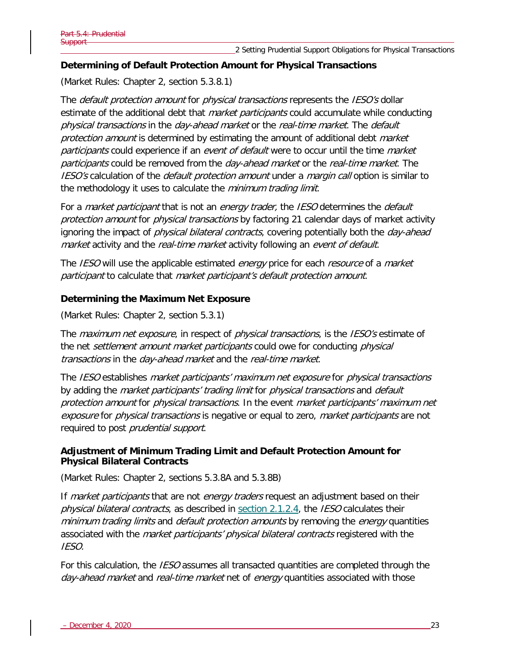#### **Determining of Default Protection Amount for Physical Transactions**

(Market Rules: Chapter 2, section 5.3.8.1)

The *default protection amount* for *physical transactions* represents the *IESO's* dollar estimate of the additional debt that *market participants* could accumulate while conducting physical transactions in the day-ahead market or the real-time market. The default protection amount is determined by estimating the amount of additional debt market participants could experience if an event of default were to occur until the time market participants could be removed from the *day-ahead market* or the *real-time market*. The IESO's calculation of the *default protection amount* under a *margin call* option is similar to the methodology it uses to calculate the *minimum trading limit*.

For a *market participant* that is not an *energy trader*, the *IESO* determines the *default* protection amount for *physical transactions* by factoring 21 calendar days of market activity ignoring the impact of *physical bilateral contracts*, covering potentially both the *day-ahead* market activity and the real-time market activity following an event of default.

The IESO will use the applicable estimated *energy* price for each *resource* of a *market* participant to calculate that market participant's default protection amount.

#### **Determining the Maximum Net Exposure**

(Market Rules: Chapter 2, section 5.3.1)

The *maximum net exposure*, in respect of *physical transactions*, is the *IESO's* estimate of the net settlement amount market participants could owe for conducting physical transactions in the day-ahead market and the real-time market.

The IESO establishes market participants' maximum net exposure for physical transactions by adding the *market participants' trading limit* for *physical transactions* and *default* protection amount for physical transactions. In the event market participants' maximum net exposure for physical transactions is negative or equal to zero, market participants are not required to post *prudential support*.

#### **Adjustment of Minimum Trading Limit and Default Protection Amount for Physical Bilateral Contracts**

(Market Rules: Chapter 2, sections 5.3.8A and 5.3.8B)

If *market participants* that are not *energy traders* request an adjustment based on their physical bilateral contracts, as described in [section 2.1.2.4,](#page-21-0) the IESO calculates their minimum trading limits and *default protection amounts* by removing the *energy* quantities associated with the *market participants' physical bilateral contracts* registered with the IESO.

For this calculation, the *IESO* assumes all transacted quantities are completed through the day-ahead market and real-time market net of energy quantities associated with those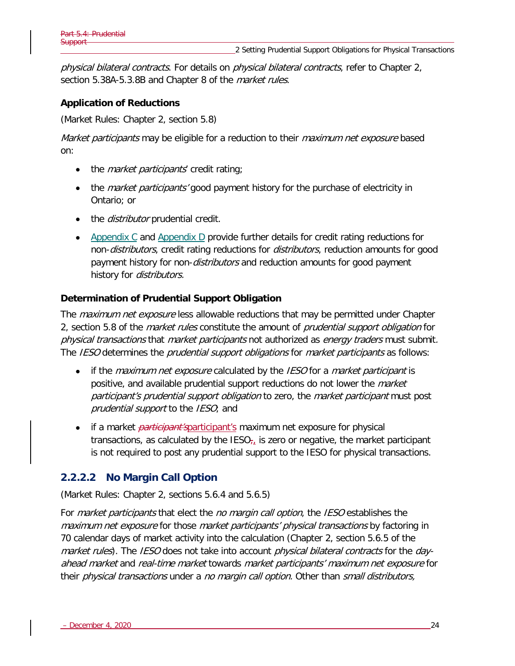physical bilateral contracts. For details on *physical bilateral contracts*, refer to Chapter 2, section 5.38A-5.3.8B and Chapter 8 of the *market rules*.

#### **Application of Reductions**

(Market Rules: Chapter 2, section 5.8)

Market participants may be eligible for a reduction to their maximum net exposure based on:

- the *market participants* credit rating;
- the *market participants'* good payment history for the purchase of electricity in Ontario; or
- the *distributor* prudential credit.
- [Appendix C](#page-68-0) and [Appendix D](#page-69-0) provide further details for credit rating reductions for non-*distributors*, credit rating reductions for *distributors*, reduction amounts for good payment history for non-*distributors* and reduction amounts for good payment history for *distributors*.

#### **Determination of Prudential Support Obligation**

The *maximum net exposure* less allowable reductions that may be permitted under Chapter 2, section 5.8 of the *market rules* constitute the amount of *prudential support obligation* for physical transactions that market participants not authorized as energy traders must submit. The IESO determines the *prudential support obligations* for *market participants* as follows:

- if the *maximum net exposure* calculated by the *IESO* for a *market participant* is positive, and available prudential support reductions do not lower the *market* participant's prudential support obligation to zero, the market participant must post prudential support to the IESO; and
- if a market *participant's*participant's maximum net exposure for physical transactions, as calculated by the  $\text{IESO}_{\tau_i}$  is zero or negative, the market participant is not required to post any prudential support to the IESO for physical transactions.

### **2.2.2.2 No Margin Call Option**

(Market Rules: Chapter 2, sections 5.6.4 and 5.6.5)

For market participants that elect the no margin call option, the IESO establishes the maximum net exposure for those market participants' physical transactions by factoring in 70 calendar days of market activity into the calculation (Chapter 2, section 5.6.5 of the market rules). The IESO does not take into account *physical bilateral contracts* for the *day*ahead market and real-time market towards market participants' maximum net exposure for their *physical transactions* under a no margin call option. Other than *small distributors*,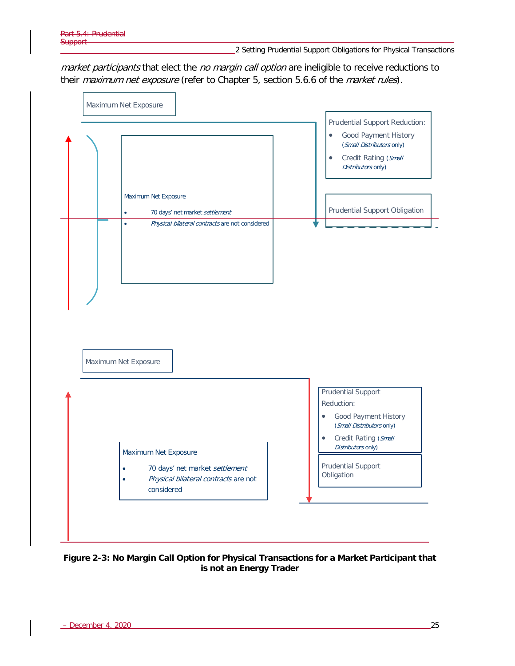2 Setting Prudential Support Obligations for Physical Transactions

market participants that elect the no margin call option are ineligible to receive reductions to their maximum net exposure (refer to Chapter 5, section 5.6.6 of the market rules).



<span id="page-32-0"></span>**Figure 2-3: No Margin Call Option for Physical Transactions for a Market Participant that is not an Energy Trader**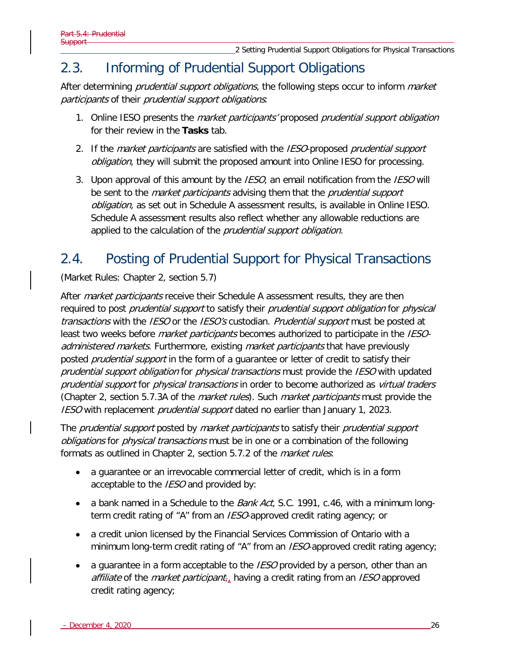# <span id="page-33-0"></span>2.3. Informing of Prudential Support Obligations

After determining *prudential support obligations*, the following steps occur to inform *market* participants of their prudential support obligations:

- 1. Online IESO presents the *market participants'* proposed *prudential support obligation* for their review in the **Tasks** tab.
- 2. If the *market participants* are satisfied with the *IESO*-proposed *prudential support* obligation, they will submit the proposed amount into Online IESO for processing.
- 3. Upon approval of this amount by the IESO, an email notification from the IESO will be sent to the *market participants* advising them that the *prudential support* obligation, as set out in Schedule A assessment results, is available in Online IESO. Schedule A assessment results also reflect whether any allowable reductions are applied to the calculation of the prudential support obligation.

# <span id="page-33-1"></span>2.4. Posting of Prudential Support for Physical Transactions

(Market Rules: Chapter 2, section 5.7)

After *market participants* receive their Schedule A assessment results, they are then required to post *prudential support* to satisfy their *prudential support obligation* for *physical* transactions with the IESO or the IESO's custodian. Prudential support must be posted at least two weeks before *market participants* becomes authorized to participate in the IESOadministered markets. Furthermore, existing market participants that have previously posted *prudential support* in the form of a quarantee or letter of credit to satisfy their prudential support obligation for physical transactions must provide the IESO with updated prudential support for *physical transactions* in order to become authorized as *virtual traders* (Chapter 2, section 5.7.3A of the *market rules*). Such *market participants* must provide the IESO with replacement *prudential support* dated no earlier than January 1, 2023.

The *prudential support* posted by *market participants* to satisfy their *prudential support* obligations for *physical transactions* must be in one or a combination of the following formats as outlined in Chapter 2, section 5.7.2 of the *market rules*:

- a guarantee or an irrevocable commercial letter of credit, which is in a form acceptable to the IESO and provided by:
- a bank named in a Schedule to the *Bank Act*, S.C. 1991, c.46, with a minimum longterm credit rating of "A" from an IESO-approved credit rating agency; or
- a credit union licensed by the Financial Services Commission of Ontario with a minimum long-term credit rating of "A" from an IESO-approved credit rating agency;
- a guarantee in a form acceptable to the *IESO* provided by a person, other than an affiliate of the *market participant<sub>r*</sub> having a credit rating from an *IESO* approved credit rating agency;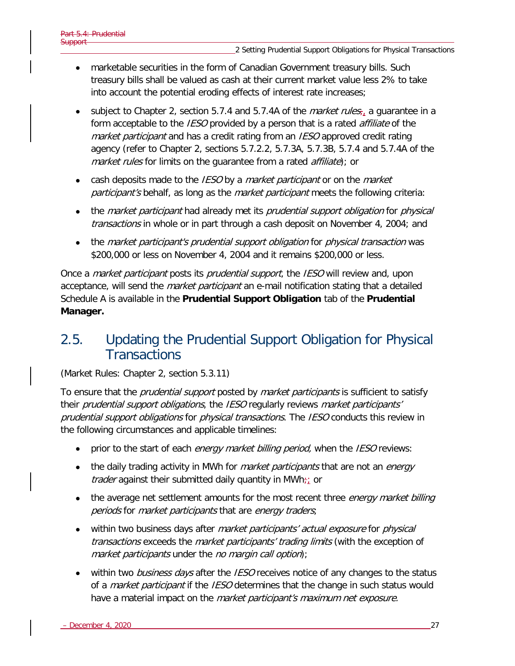- marketable securities in the form of Canadian Government treasury bills. Such treasury bills shall be valued as cash at their current market value less 2% to take into account the potential eroding effects of interest rate increases;
- subject to Chapter 2, section 5.7.4 and 5.7.4A of the *market rules*, a guarantee in a form acceptable to the *IESO* provided by a person that is a rated *affiliate* of the market participant and has a credit rating from an IESO approved credit rating agency (refer to Chapter 2, sections 5.7.2.2, 5.7.3A, 5.7.3B, 5.7.4 and 5.7.4A of the market rules for limits on the quarantee from a rated affiliate); or
- cash deposits made to the IESO by a *market participant* or on the *market* participant's behalf, as long as the *market participant* meets the following criteria:
- the *market participant* had already met its *prudential support obligation* for *physical* transactions in whole or in part through a cash deposit on November 4, 2004; and
- the market participant's prudential support obligation for physical transaction was \$200,000 or less on November 4, 2004 and it remains \$200,000 or less.

Once a *market participant* posts its *prudential support*, the *IESO* will review and, upon acceptance, will send the *market participant* an e-mail notification stating that a detailed Schedule A is available in the **Prudential Support Obligation** tab of the **Prudential Manager.**

# <span id="page-34-0"></span>2.5. Updating the Prudential Support Obligation for Physical **Transactions**

#### (Market Rules: Chapter 2, section 5.3.11)

To ensure that the *prudential support* posted by *market participants* is sufficient to satisfy their *prudential support obligations*, the *IESO* regularly reviews *market participants'* prudential support obligations for physical transactions. The IESO conducts this review in the following circumstances and applicable timelines:

- prior to the start of each *energy market billing period*, when the IESO reviews:
- the daily trading activity in MWh for *market participants* that are not an *energy trader* against their submitted daily quantity in MWh $\frac{1}{l}$  or
- the average net settlement amounts for the most recent three *energy market billing* periods for *market participants* that are *energy traders*;
- within two business days after *market participants' actual exposure* for *physical* transactions exceeds the *market participants' trading limits* (with the exception of market participants under the no margin call option);
- within two *business days* after the *IESO* receives notice of any changes to the status of a *market participant* if the *IESO* determines that the change in such status would have a material impact on the *market participant's maximum net exposure.*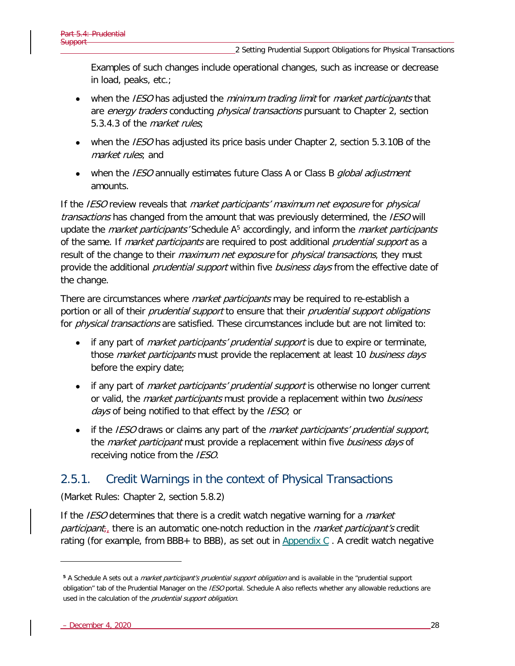Examples of such changes include operational changes, such as increase or decrease in load, peaks, etc.;

- when the *IESO* has adjusted the *minimum trading limit* for *market participants* that are energy traders conducting physical transactions pursuant to Chapter 2, section 5.3.4.3 of the *market rules*:
- when the *IESO* has adjusted its price basis under Chapter 2, section 5.3.10B of the market rules; and
- when the *IESO* annually estimates future Class A or Class B *qlobal adjustment* amounts.

If the IESO review reveals that *market participants' maximum net exposure* for *physical* transactions has changed from the amount that was previously determined, the IESO will update the *market participants'* Schedule A<sup>[5](#page-35-1)</sup> accordingly, and inform the *market participants* of the same. If *market participants* are required to post additional *prudential support* as a result of the change to their *maximum net exposure* for *physical transactions*, they must provide the additional *prudential support* within five *business days* from the effective date of the change.

There are circumstances where *market participants* may be required to re-establish a portion or all of their *prudential support* to ensure that their *prudential support obligations* for *physical transactions* are satisfied. These circumstances include but are not limited to:

- if any part of *market participants' prudential support* is due to expire or terminate, those *market participants* must provide the replacement at least 10 business days before the expiry date;
- if any part of *market participants' prudential support* is otherwise no longer current or valid, the *market participants* must provide a replacement within two *business* days of being notified to that effect by the IESO; or
- if the IESO draws or claims any part of the *market participants' prudential support*, the *market participant* must provide a replacement within five *business days* of receiving notice from the IESO.

## <span id="page-35-0"></span>2.5.1. Credit Warnings in the context of Physical Transactions

(Market Rules: Chapter 2, section 5.8.2)

If the *IESO* determines that there is a credit watch negative warning for a *market participant*, there is an automatic one-notch reduction in the *market participant's* credit rating (for example, from BBB+ to BBB), as set out in  $\Delta p$  and ix C. A credit watch negative

<span id="page-35-1"></span>**<sup>5</sup>** A Schedule A sets out a market participant's prudential support obligation and is available in the "prudential support obligation" tab of the Prudential Manager on the IESO portal. Schedule A also reflects whether any allowable reductions are used in the calculation of the *prudential support obligation*.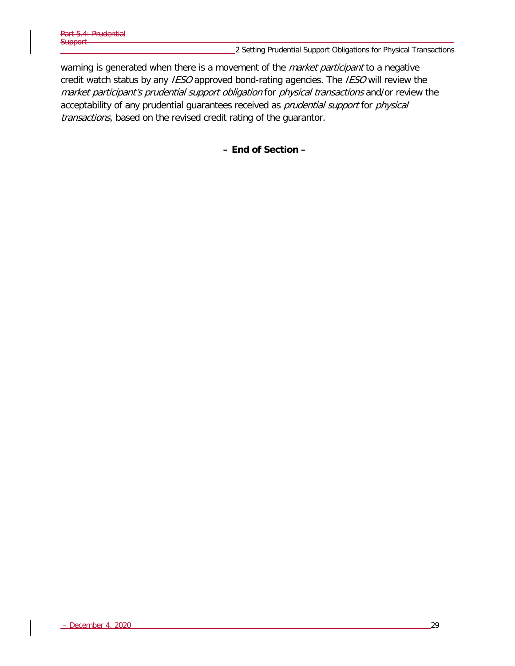2 Setting Prudential Support Obligations for Physical Transactions

warning is generated when there is a movement of the *market participant* to a negative credit watch status by any IESO approved bond-rating agencies. The IESO will review the market participant's prudential support obligation for physical transactions and/or review the acceptability of any prudential guarantees received as *prudential support* for *physical* transactions, based on the revised credit rating of the guarantor.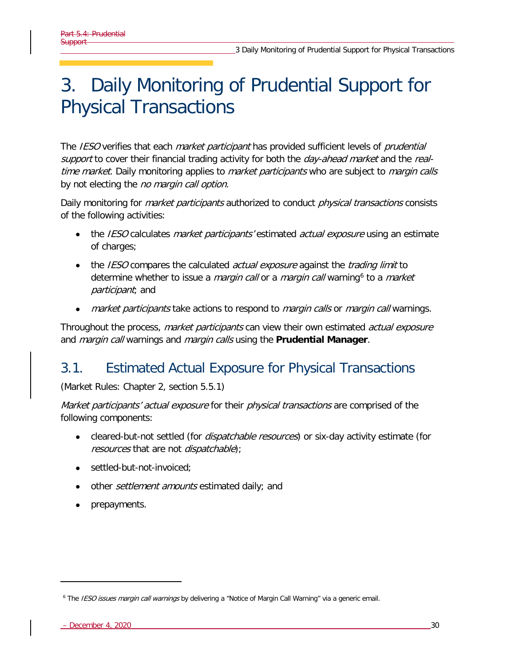# 3. Daily Monitoring of Prudential Support for Physical Transactions

The *IESO* verifies that each *market participant* has provided sufficient levels of *prudential* support to cover their financial trading activity for both the *day-ahead market* and the *real*time market. Daily monitoring applies to *market participants* who are subject to *margin calls* by not electing the no margin call option.

Daily monitoring for *market participants* authorized to conduct *physical transactions* consists of the following activities:

- the *IESO* calculates *market participants'* estimated *actual exposure* using an estimate of charges;
- the *IESO* compares the calculated *actual exposure* against the *trading limit* to determine whether to issue a *margin call* or a *margin call* warning<sup>[6](#page-37-0)</sup> to a *market* participant; and
- *market participants* take actions to respond to *margin calls* or *margin call* warnings.

Throughout the process, *market participants* can view their own estimated *actual exposure* and margin call warnings and margin calls using the **Prudential Manager**.

# 3.1. Estimated Actual Exposure for Physical Transactions

(Market Rules: Chapter 2, section 5.5.1)

Market participants' actual exposure for their physical transactions are comprised of the following components:

- cleared-but-not settled (for *dispatchable resources*) or six-day activity estimate (for resources that are not *dispatchable*);
- settled-but-not-invoiced;
- other *settlement amounts* estimated daily; and
- prepayments.

<span id="page-37-0"></span><sup>&</sup>lt;sup>6</sup> The IESO issues margin call warnings by delivering a "Notice of Margin Call Warning" via a generic email.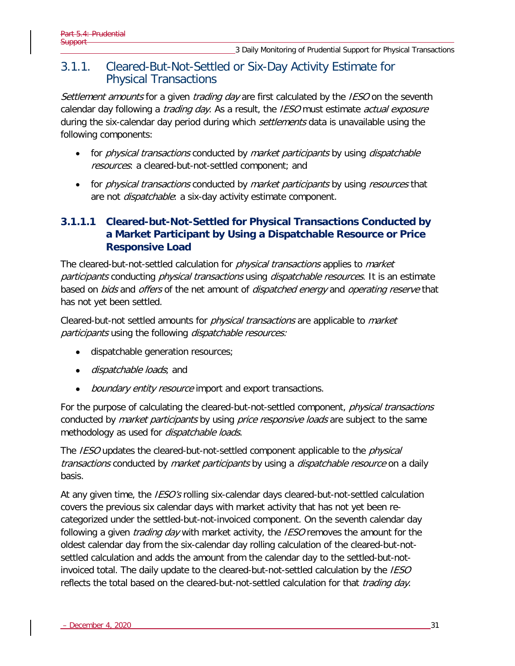### 3.1.1. Cleared-But-Not-Settled or Six-Day Activity Estimate for Physical Transactions

Settlement amounts for a given trading day are first calculated by the IESO on the seventh calendar day following a *trading day*. As a result, the *IESO* must estimate *actual exposure* during the six-calendar day period during which *settlements* data is unavailable using the following components:

- for *physical transactions* conducted by *market participants* by using *dispatchable* resources: a cleared-but-not-settled component; and
- for *physical transactions* conducted by *market participants* by using *resources* that are not *dispatchable*: a six-day activity estimate component.

### **3.1.1.1 Cleared-but-Not-Settled for Physical Transactions Conducted by a Market Participant by Using a Dispatchable Resource or Price Responsive Load**

The cleared-but-not-settled calculation for *physical transactions* applies to *market* participants conducting physical transactions using dispatchable resources. It is an estimate based on *bids* and *offers* of the net amount of *dispatched energy* and *operating reserve* that has not yet been settled.

Cleared-but-not settled amounts for *physical transactions* are applicable to *market* participants using the following dispatchable resources:

- dispatchable generation resources;
- *dispatchable loads*; and
- boundary entity resource import and export transactions.

For the purpose of calculating the cleared-but-not-settled component, *physical transactions* conducted by *market participants* by using *price responsive loads* are subject to the same methodology as used for *dispatchable loads*.

The IESO updates the cleared-but-not-settled component applicable to the *physical* transactions conducted by market participants by using a *dispatchable resource* on a daily basis.

At any given time, the *IESO's* rolling six-calendar days cleared-but-not-settled calculation covers the previous six calendar days with market activity that has not yet been recategorized under the settled-but-not-invoiced component. On the seventh calendar day following a given *trading day* with market activity, the *IESO* removes the amount for the oldest calendar day from the six-calendar day rolling calculation of the cleared-but-notsettled calculation and adds the amount from the calendar day to the settled-but-notinvoiced total. The daily update to the cleared-but-not-settled calculation by the *IESO* reflects the total based on the cleared-but-not-settled calculation for that *trading day*.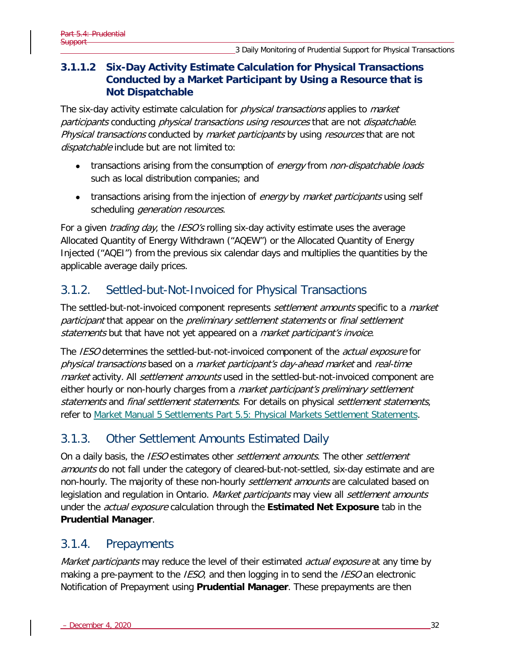### **3.1.1.2 Six-Day Activity Estimate Calculation for Physical Transactions Conducted by a Market Participant by Using a Resource that is Not Dispatchable**

The six-day activity estimate calculation for *physical transactions* applies to *market* participants conducting physical transactions using resources that are not dispatchable. Physical transactions conducted by market participants by using resources that are not dispatchable include but are not limited to:

- transactions arising from the consumption of energy from non-dispatchable loads such as local distribution companies; and
- transactions arising from the injection of *energy* by *market participants* using self scheduling *generation resources*.

For a given *trading day*, the *IESO's* rolling six-day activity estimate uses the average Allocated Quantity of Energy Withdrawn ("AQEW") or the Allocated Quantity of Energy Injected ("AQEI") from the previous six calendar days and multiplies the quantities by the applicable average daily prices.

## 3.1.2. Settled-but-Not-Invoiced for Physical Transactions

The settled-but-not-invoiced component represents *settlement amounts* specific to a *market* participant that appear on the *preliminary settlement statements* or *final settlement* statements but that have not yet appeared on a market participant's invoice.

The IESO determines the settled-but-not-invoiced component of the *actual exposure* for physical transactions based on a market participant's day-ahead market and real-time market activity. All *settlement amounts* used in the settled-but-not-invoiced component are either hourly or non-hourly charges from a *market participant's preliminary settlement* statements and final settlement statements. For details on physical settlement statements, refer to [Market Manual 5 Settlements Part 5.5: Physical Markets Settlement Statements.](http://www.ieso.ca/-/media/Files/IESO/Document-Library/Market-Rules-and-Manuals-Library/market-manuals/settlements/se-rtestatements.pdf?la=en)

## 3.1.3. Other Settlement Amounts Estimated Daily

On a daily basis, the *IESO* estimates other *settlement amounts*. The other *settlement* amounts do not fall under the category of cleared-but-not-settled, six-day estimate and are non-hourly. The majority of these non-hourly *settlement amounts* are calculated based on legislation and regulation in Ontario. Market participants may view all settlement amounts under the actual exposure calculation through the **Estimated Net Exposure** tab in the **Prudential Manager**.

### 3.1.4. Prepayments

Market participants may reduce the level of their estimated actual exposure at any time by making a pre-payment to the *IESO*, and then logging in to send the *IESO* an electronic Notification of Prepayment using **Prudential Manager**. These prepayments are then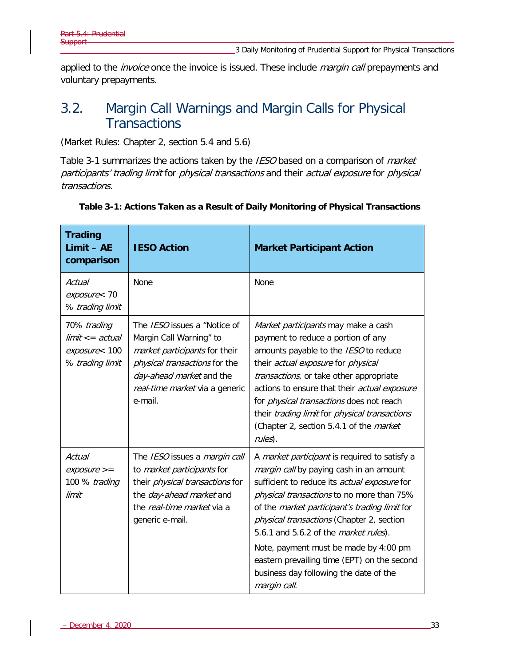applied to the *invoice* once the invoice is issued. These include *margin call* prepayments and voluntary prepayments.

## 3.2. Margin Call Warnings and Margin Calls for Physical **Transactions**

(Market Rules: Chapter 2, section 5.4 and 5.6)

[Table 3-1](#page-40-0) summarizes the actions taken by the IESO based on a comparison of market participants' trading limit for physical transactions and their actual exposure for physical transactions.

| <b>Trading</b><br>$Limit - AE$<br>comparison                          | <b>IESO Action</b>                                                                                                                                                                                 | <b>Market Participant Action</b>                                                                                                                                                                                                                                                                                                                                                                                                                                                              |
|-----------------------------------------------------------------------|----------------------------------------------------------------------------------------------------------------------------------------------------------------------------------------------------|-----------------------------------------------------------------------------------------------------------------------------------------------------------------------------------------------------------------------------------------------------------------------------------------------------------------------------------------------------------------------------------------------------------------------------------------------------------------------------------------------|
| Actual<br>exposure< 70<br>% trading limit                             | <b>None</b>                                                                                                                                                                                        | None                                                                                                                                                                                                                                                                                                                                                                                                                                                                                          |
| 70% trading<br>$limit < = actual$<br>exposure< 100<br>% trading limit | The IESO issues a "Notice of<br>Margin Call Warning" to<br>market participants for their<br>physical transactions for the<br>day-ahead market and the<br>real-time market via a generic<br>e-mail. | Market participants may make a cash<br>payment to reduce a portion of any<br>amounts payable to the IESO to reduce<br>their actual exposure for physical<br>transactions, or take other appropriate<br>actions to ensure that their actual exposure<br>for <i>physical transactions</i> does not reach<br>their trading limit for physical transactions<br>(Chapter 2, section 5.4.1 of the <i>market</i><br>rules).                                                                          |
| Actual<br>$exposure >=$<br>100 % trading<br>limit                     | The IESO issues a margin call<br>to <i>market participants</i> for<br>their <i>physical transactions</i> for<br>the day-ahead market and<br>the <i>real-time market</i> via a<br>generic e-mail.   | A <i>market participant</i> is required to satisfy a<br>margin call by paying cash in an amount<br>sufficient to reduce its actual exposure for<br>physical transactions to no more than 75%<br>of the market participant's trading limit for<br>physical transactions (Chapter 2, section<br>5.6.1 and 5.6.2 of the <i>market rules</i> ).<br>Note, payment must be made by 4:00 pm<br>eastern prevailing time (EPT) on the second<br>business day following the date of the<br>margin call. |

#### <span id="page-40-0"></span>**Table 3-1: Actions Taken as a Result of Daily Monitoring of Physical Transactions**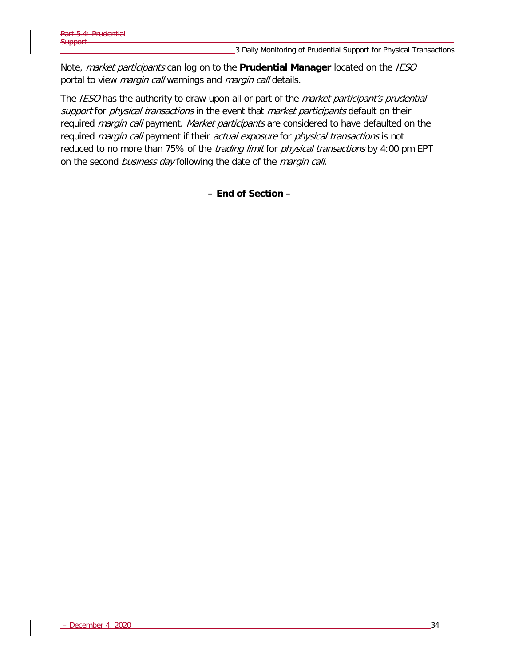Note, market participants can log on to the **Prudential Manager** located on the IESO portal to view *margin call* warnings and *margin call* details.

The IESO has the authority to draw upon all or part of the *market participant's prudential* support for physical transactions in the event that market participants default on their required *margin call* payment. Market participants are considered to have defaulted on the required *margin call* payment if their *actual exposure* for *physical transactions* is not reduced to no more than 75% of the *trading limit* for *physical transactions* by 4:00 pm EPT on the second business day following the date of the margin call.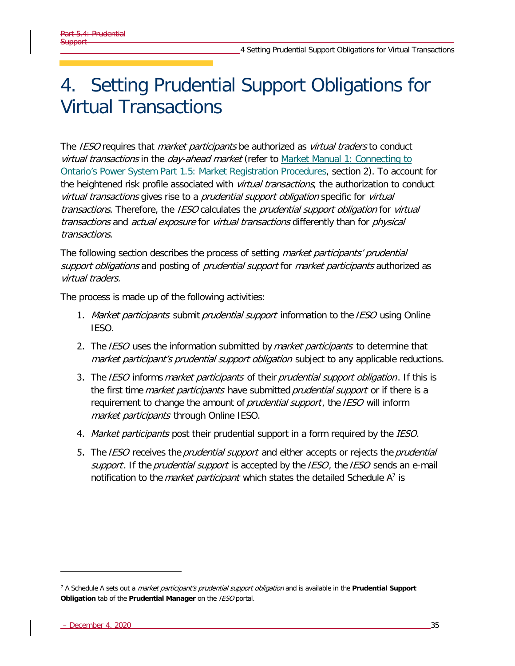# 4. Setting Prudential Support Obligations for Virtual Transactions

The IESO requires that *market participants* be authorized as *virtual traders* to conduct virtual transactions in the day-ahead market (refer to Market Manual 1: Connecting to [Ontario's Power System Part 1.5: Market Registration Procedures,](http://www.ieso.ca/-/media/Files/IESO/Document-Library/Market-Rules-and-Manuals-Library/market-manuals/connecting/market-registration.pdf?la=en) section 2). To account for the heightened risk profile associated with *virtual transactions*, the authorization to conduct virtual transactions gives rise to a *prudential support obligation* specific for *virtual* transactions. Therefore, the IESO calculates the prudential support obligation for virtual transactions and actual exposure for virtual transactions differently than for physical transactions.

The following section describes the process of setting *market participants' prudential* support obligations and posting of prudential support for market participants authorized as virtual traders.

The process is made up of the following activities:

- 1. Market participants submit prudential support information to the IESO using Online IESO.
- 2. The IESO uses the information submitted by *market participants* to determine that market participant's prudential support obligation subject to any applicable reductions.
- 3. The IESO informs *market participants* of their *prudential support obligation*. If this is the first time *market participants* have submitted *prudential support* or if there is a requirement to change the amount of *prudential support*, the IESO will inform market participants through Online IESO.
- 4. Market participants post their prudential support in a form required by the IESO.
- 5. The IESO receives the prudential support and either accepts or rejects the prudential support. If the prudential support is accepted by the IESO, the IESO sends an e-mail notification to the *market participant* which states the detailed Schedule A<sup>[7](#page-42-0)</sup> is

<span id="page-42-0"></span><sup>7</sup> A Schedule A sets out a market participant's prudential support obligation and is available in the **Prudential Support Obligation** tab of the **Prudential Manager** on the IESO portal.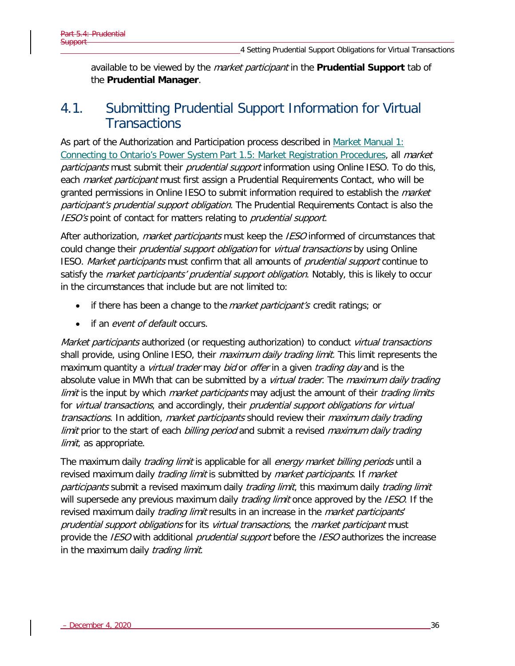available to be viewed by the market participant in the **Prudential Support** tab of the **Prudential Manager**.

## 4.1. Submitting Prudential Support Information for Virtual **Transactions**

As part of the Authorization and Participation process described in [Market Manual 1:](http://www.ieso.ca/-/media/Files/IESO/Document-Library/Market-Rules-and-Manuals-Library/market-manuals/connecting/market-registration.pdf?la=en)  [Connecting to Ontario's Power System Part 1.5: Market Registration Procedures,](http://www.ieso.ca/-/media/Files/IESO/Document-Library/Market-Rules-and-Manuals-Library/market-manuals/connecting/market-registration.pdf?la=en) all *market* participants must submit their prudential support information using Online IESO. To do this, each *market participant* must first assign a Prudential Requirements Contact, who will be granted permissions in Online IESO to submit information required to establish the *market* participant's prudential support obligation. The Prudential Requirements Contact is also the IESO's point of contact for matters relating to *prudential support*.

After authorization, *market participants* must keep the *IESO* informed of circumstances that could change their *prudential support obligation* for *virtual transactions* by using Online IESO. Market participants must confirm that all amounts of prudential support continue to satisfy the *market participants' prudential support obligation*. Notably, this is likely to occur in the circumstances that include but are not limited to:

- if there has been a change to the *market participant's* credit ratings; or
- if an event of default occurs.

Market participants authorized (or requesting authorization) to conduct virtual transactions shall provide, using Online IESO, their *maximum daily trading limit*. This limit represents the maximum quantity a *virtual trader* may *bid* or *offer* in a given *trading day* and is the absolute value in MWh that can be submitted by a *virtual trader*. The *maximum daily trading* limit is the input by which market participants may adjust the amount of their trading limits for virtual transactions, and accordingly, their prudential support obligations for virtual transactions. In addition, market participants should review their maximum daily trading limit prior to the start of each billing period and submit a revised maximum daily trading limit, as appropriate.

The maximum daily *trading limit* is applicable for all *energy market billing periods* until a revised maximum daily *trading limit* is submitted by *market participants*. If *market* participants submit a revised maximum daily *trading limit*, this maximum daily *trading limit* will supersede any previous maximum daily *trading limit* once approved by the *IESO*. If the revised maximum daily *trading limit* results in an increase in the *market participants'* prudential support obligations for its virtual transactions, the market participant must provide the *IESO* with additional *prudential support* before the *IESO* authorizes the increase in the maximum daily *trading limit*.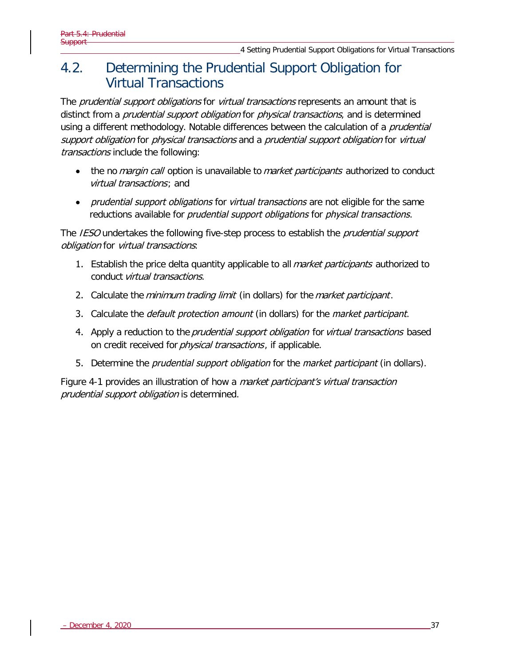## 4.2. Determining the Prudential Support Obligation for Virtual Transactions

The *prudential support obligations* for *virtual transactions* represents an amount that is distinct from a *prudential support obligation* for *physical transactions*, and is determined using a different methodology. Notable differences between the calculation of a *prudential* support obligation for physical transactions and a prudential support obligation for virtual transactions include the following:

- the no *margin call* option is unavailable to *market participants* authorized to conduct virtual transactions; and
- *prudential support obligations* for *virtual transactions* are not eligible for the same reductions available for *prudential support obligations* for *physical transactions*.

The *IESO* undertakes the following five-step process to establish the *prudential support* obligation for virtual transactions:

- 1. Establish the price delta quantity applicable to all *market participants* authorized to conduct virtual transactions.
- 2. Calculate the *minimum trading limit* (in dollars) for the *market participant*.
- 3. Calculate the *default protection amount* (in dollars) for the *market participant*.
- 4. Apply a reduction to the prudential support obligation for virtual transactions based on credit received for *physical transactions*, if applicable.
- 5. Determine the *prudential support obligation* for the *market participant* (in dollars).

Figure 4-1 provides an illustration of how a *market participant's virtual transaction* prudential support obligation is determined.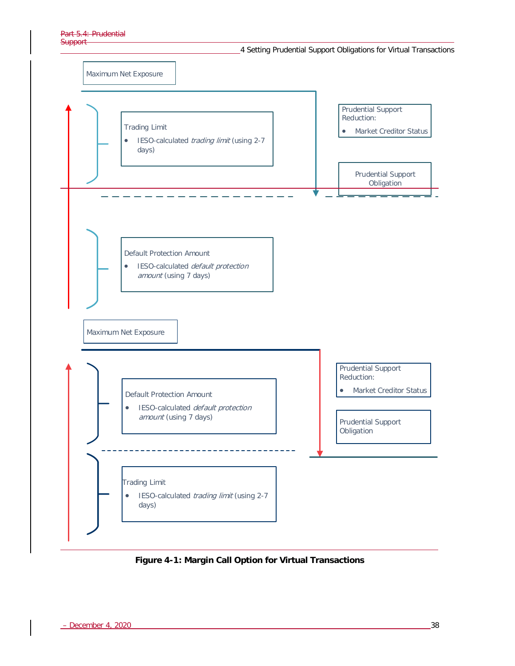



**Figure 4-1: Margin Call Option for Virtual Transactions**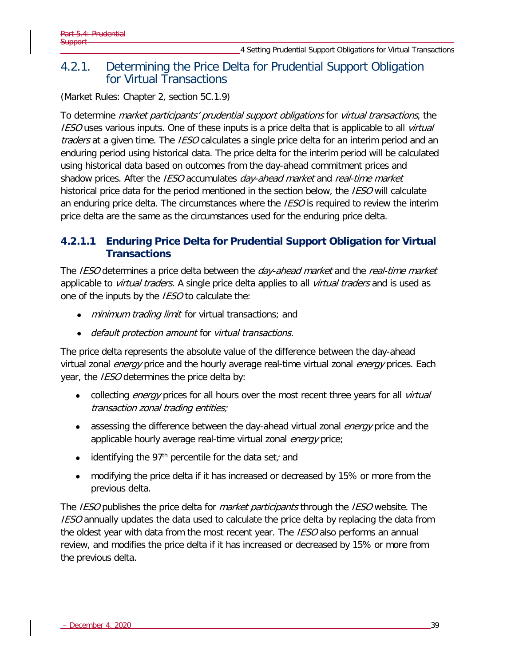### <span id="page-46-0"></span>4.2.1. Determining the Price Delta for Prudential Support Obligation for Virtual Transactions

(Market Rules: Chapter 2, section 5C.1.9)

To determine *market participants' prudential support obligations* for *virtual transactions*, the **IESO** uses various inputs. One of these inputs is a price delta that is applicable to all *virtual* traders at a given time. The *IESO* calculates a single price delta for an interim period and an enduring period using historical data. The price delta for the interim period will be calculated using historical data based on outcomes from the day-ahead commitment prices and shadow prices. After the *IESO* accumulates *day-ahead market* and *real-time market* historical price data for the period mentioned in the section below, the *IESO* will calculate an enduring price delta. The circumstances where the IESO is required to review the interim price delta are the same as the circumstances used for the enduring price delta.

### **4.2.1.1 Enduring Price Delta for Prudential Support Obligation for Virtual Transactions**

The IESO determines a price delta between the *day-ahead market* and the *real-time market* applicable to *virtual traders*. A single price delta applies to all *virtual traders* and is used as one of the inputs by the *IESO* to calculate the:

- minimum trading limit for virtual transactions; and
- default protection amount for virtual transactions.

The price delta represents the absolute value of the difference between the day-ahead virtual zonal *energy* price and the hourly average real-time virtual zonal *energy* prices. Each year, the *IESO* determines the price delta by:

- collecting *energy* prices for all hours over the most recent three years for all *virtual* transaction zonal trading entities;
- assessing the difference between the day-ahead virtual zonal *energy* price and the applicable hourly average real-time virtual zonal energy price;
- identifying the 97<sup>th</sup> percentile for the data set; and
- modifying the price delta if it has increased or decreased by 15% or more from the previous delta.

The IESO publishes the price delta for *market participants* through the IESO website. The **IESO** annually updates the data used to calculate the price delta by replacing the data from the oldest year with data from the most recent year. The *IESO* also performs an annual review, and modifies the price delta if it has increased or decreased by 15% or more from the previous delta.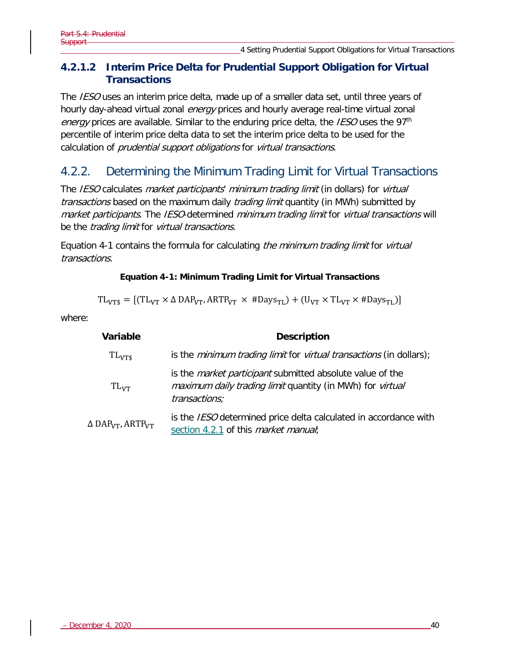### **4.2.1.2 Interim Price Delta for Prudential Support Obligation for Virtual Transactions**

The IESO uses an interim price delta, made up of a smaller data set, until three years of hourly day-ahead virtual zonal *energy* prices and hourly average real-time virtual zonal energy prices are available. Similar to the enduring price delta, the IESO uses the 97<sup>th</sup> percentile of interim price delta data to set the interim price delta to be used for the calculation of *prudential support obligations* for *virtual transactions*.

## 4.2.2. Determining the Minimum Trading Limit for Virtual Transactions

The IESO calculates market participants' minimum trading limit (in dollars) for virtual transactions based on the maximum daily *trading limit* quantity (in MWh) submitted by market participants. The IESO-determined minimum trading limit for virtual transactions will be the *trading limit* for *virtual transactions*.

Equation 4-1 contains the formula for calculating *the minimum trading limit* for *virtual* transactions.

#### **Equation 4-1: Minimum Trading Limit for Virtual Transactions**

 $TL_{VTS} = [(TL_{VT} \times \Delta \text{DAP}_{VT}, \text{ARTP}_{VT} \times # \text{Days}_{TL}) + (U_{VT} \times TL_{VT} \times # \text{Days}_{TL})]$ 

where:

| <b>Variable</b>                                 | <b>Description</b>                                                                                                                             |  |  |
|-------------------------------------------------|------------------------------------------------------------------------------------------------------------------------------------------------|--|--|
| $TL_{VTS}$                                      | is the <i>minimum trading limit</i> for <i>virtual transactions</i> (in dollars);                                                              |  |  |
| $TL_{VT}$                                       | is the <i>market participant</i> submitted absolute value of the<br>maximum daily trading limit quantity (in MWh) for virtual<br>transactions; |  |  |
| $\Delta$ DAP <sub>VT</sub> , ARTP <sub>VT</sub> | is the <i>IESO</i> determined price delta calculated in accordance with<br>section 4.2.1 of this <i>market manual</i> ;                        |  |  |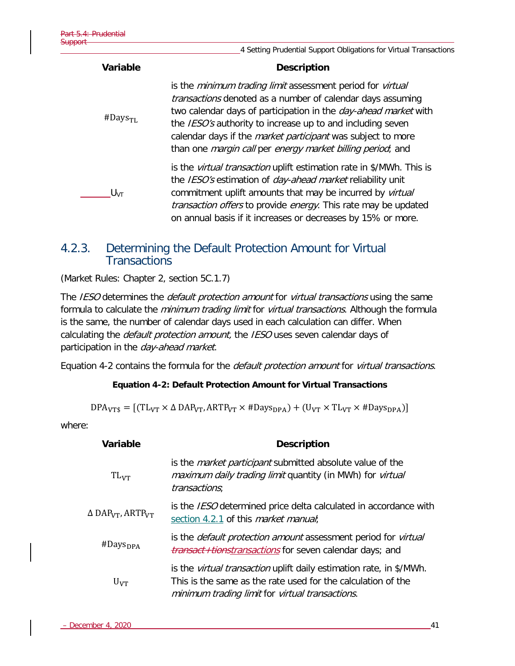|                        | 4 Setting Prudential Support Obligations for Virtual Transactions                                                                                                                                                                                                                                                                                                                                    |  |  |
|------------------------|------------------------------------------------------------------------------------------------------------------------------------------------------------------------------------------------------------------------------------------------------------------------------------------------------------------------------------------------------------------------------------------------------|--|--|
| Variable               | <b>Description</b>                                                                                                                                                                                                                                                                                                                                                                                   |  |  |
| $#$ Days <sub>TL</sub> | is the minimum trading limit assessment period for virtual<br>transactions denoted as a number of calendar days assuming<br>two calendar days of participation in the <i>day-ahead market</i> with<br>the IESO's authority to increase up to and including seven<br>calendar days if the <i>market participant</i> was subject to more<br>than one margin call per energy market billing period; and |  |  |
| $U_{\text{VT}}$        | is the <i>virtual transaction</i> uplift estimation rate in \$/MWh. This is<br>the IESO's estimation of <i>day-ahead market</i> reliability unit<br>commitment uplift amounts that may be incurred by <i>virtual</i><br>transaction offers to provide energy. This rate may be updated<br>on annual basis if it increases or decreases by 15% or more.                                               |  |  |

### 4.2.3. Determining the Default Protection Amount for Virtual **Transactions**

(Market Rules: Chapter 2, section 5C.1.7)

The IESO determines the *default protection amount* for *virtual transactions* using the same formula to calculate the minimum trading limit for virtual transactions. Although the formula is the same, the number of calendar days used in each calculation can differ. When calculating the *default protection amount*, the IESO uses seven calendar days of participation in the day-ahead market.

Equation 4-2 contains the formula for the *default protection amount* for *virtual transactions*.

#### **Equation 4-2: Default Protection Amount for Virtual Transactions**

 $DPA<sub>VTS</sub> = [(TL<sub>VT</sub> × Δ DAP<sub>VT</sub>, ARTP<sub>VT</sub> × #Days<sub>DPA</sub>) + (U<sub>VT</sub> × TL<sub>VT</sub> × #Days<sub>DPA</sub>)]$ 

where:

| Variable                                        | <b>Description</b>                                                                                                                                                                            |  |  |
|-------------------------------------------------|-----------------------------------------------------------------------------------------------------------------------------------------------------------------------------------------------|--|--|
| $TL_{VT}$                                       | is the <i>market participant</i> submitted absolute value of the<br>maximum daily trading limit quantity (in MWh) for virtual<br>transactions;                                                |  |  |
| $\Delta$ DAP <sub>VT</sub> , ARTP <sub>VT</sub> | is the IESO determined price delta calculated in accordance with<br>section 4.2.1 of this <i>market manual</i> ;                                                                              |  |  |
| $#$ Days <sub>DPA</sub>                         | is the <i>default protection amount</i> assessment period for <i>virtual</i><br>transact+tionstransactions for seven calendar days; and                                                       |  |  |
| $U_{VT}$                                        | is the <i>virtual transaction</i> uplift daily estimation rate, in \$/MWh.<br>This is the same as the rate used for the calculation of the<br>minimum trading limit for virtual transactions. |  |  |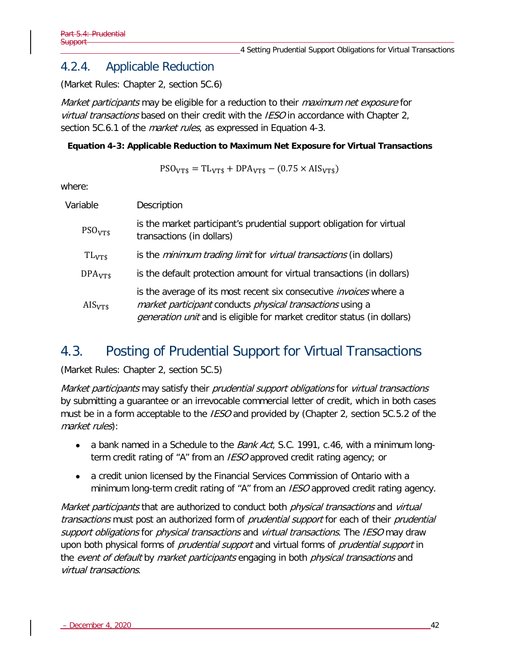### 4.2.4. Applicable Reduction

(Market Rules: Chapter 2, section 5C.6)

Market participants may be eligible for a reduction to their *maximum net exposure* for virtual transactions based on their credit with the IESO in accordance with Chapter 2, section 5C.6.1 of the *market rules*, as expressed in Equation 4-3.

#### **Equation 4-3: Applicable Reduction to Maximum Net Exposure for Virtual Transactions**

$$
PSOVTS = TLVTS + DPAVTS - (0.75 \times AISVTS)
$$

where:

| Variable           | Description                                                                                                                                                                                                              |
|--------------------|--------------------------------------------------------------------------------------------------------------------------------------------------------------------------------------------------------------------------|
| PSO <sub>VTS</sub> | is the market participant's prudential support obligation for virtual<br>transactions (in dollars)                                                                                                                       |
| $TL_{VTS}$         | is the <i>minimum trading limit</i> for <i>virtual transactions</i> (in dollars)                                                                                                                                         |
| DPA <sub>VTS</sub> | is the default protection amount for virtual transactions (in dollars)                                                                                                                                                   |
| $AIS_{VTS}$        | is the average of its most recent six consecutive <i>invoices</i> where a<br>market participant conducts physical transactions using a<br><i>generation unit</i> and is eligible for market creditor status (in dollars) |

## 4.3. Posting of Prudential Support for Virtual Transactions

(Market Rules: Chapter 2, section 5C.5)

Market participants may satisfy their prudential support obligations for virtual transactions by submitting a guarantee or an irrevocable commercial letter of credit, which in both cases must be in a form acceptable to the *IESO* and provided by (Chapter 2, section 5C.5.2 of the market rules):

- a bank named in a Schedule to the *Bank Act*, S.C. 1991, c.46, with a minimum longterm credit rating of "A" from an IESO approved credit rating agency; or
- a credit union licensed by the Financial Services Commission of Ontario with a minimum long-term credit rating of "A" from an *IESO* approved credit rating agency.

Market participants that are authorized to conduct both *physical transactions* and *virtual* transactions must post an authorized form of *prudential support* for each of their *prudential* support obligations for *physical transactions* and *virtual transactions*. The *IESO* may draw upon both physical forms of *prudential support* and virtual forms of *prudential support* in the event of default by market participants engaging in both *physical transactions* and virtual transactions.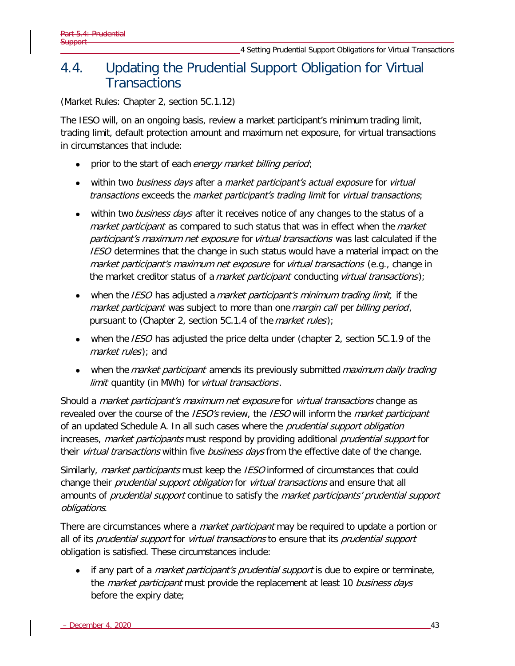## 4.4. Updating the Prudential Support Obligation for Virtual **Transactions**

(Market Rules: Chapter 2, section 5C.1.12)

The IESO will, on an ongoing basis, review a market participant's minimum trading limit, trading limit, default protection amount and maximum net exposure, for virtual transactions in circumstances that include:

- prior to the start of each energy market billing period;
- within two business days after a market participant's actual exposure for virtual transactions exceeds the market participant's trading limit for virtual transactions;
- within two *business days* after it receives notice of any changes to the status of a market participant as compared to such status that was in effect when the market participant's maximum net exposure for virtual transactions was last calculated if the IESO determines that the change in such status would have a material impact on the market participant's maximum net exposure for virtual transactions (e.g., change in the market creditor status of a *market participant* conducting *virtual transactions*);
- when the IESO has adjusted a market participant's minimum trading limit, if the market participant was subject to more than one margin call per billing period, pursuant to (Chapter 2, section 5C.1.4 of the *market rules*);
- when the *IESO* has adjusted the price delta under (chapter 2, section 5C.1.9 of the market rules); and
- when the *market participant* amends its previously submitted *maximum daily trading* limit quantity (in MWh) for virtual transactions.

Should a *market participant's maximum net exposure* for *virtual transactions* change as revealed over the course of the *IESO's* review, the *IESO* will inform the *market participant* of an updated Schedule A. In all such cases where the *prudential support obligation* increases, market participants must respond by providing additional prudential support for their *virtual transactions* within five *business days* from the effective date of the change.

Similarly, *market participants* must keep the *IESO* informed of circumstances that could change their *prudential support obligation* for *virtual transactions* and ensure that all amounts of *prudential support* continue to satisfy the *market participants' prudential support* obligations.

There are circumstances where a *market participant* may be required to update a portion or all of its prudential support for virtual transactions to ensure that its prudential support obligation is satisfied. These circumstances include:

• if any part of a *market participant's prudential support* is due to expire or terminate, the *market participant* must provide the replacement at least 10 business days before the expiry date;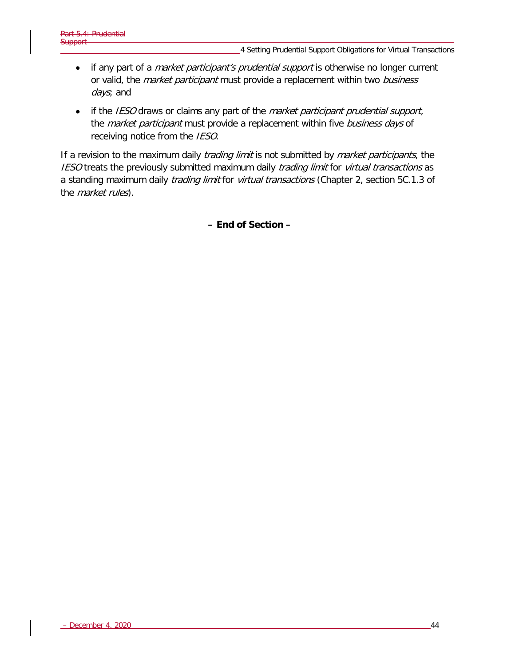- if any part of a *market participant's prudential support* is otherwise no longer current or valid, the *market participant* must provide a replacement within two business days; and
- if the IESO draws or claims any part of the *market participant prudential support*, the *market participant* must provide a replacement within five business days of receiving notice from the IESO.

If a revision to the maximum daily *trading limit* is not submitted by *market participants*, the IESO treats the previously submitted maximum daily trading limit for virtual transactions as a standing maximum daily *trading limit* for *virtual transactions* (Chapter 2, section 5C.1.3 of the *market rules*).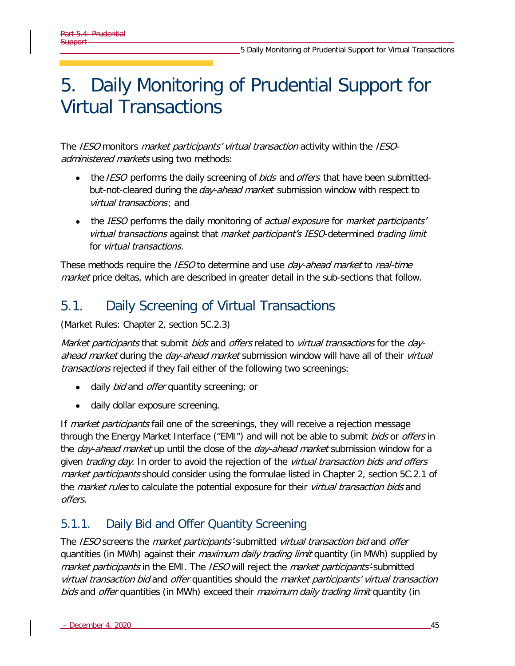# 5. Daily Monitoring of Prudential Support for Virtual Transactions

The IESO monitors *market participants' virtual transaction* activity within the IESOadministered markets using two methods:

- the *IESO* performs the daily screening of *bids* and *offers* that have been submittedbut-not-cleared during the *day-ahead market* submission window with respect to virtual transactions; and
- the IESO performs the daily monitoring of actual exposure for market participants' virtual transactions against that market participant's IESO-determined trading limit for virtual transactions.

These methods require the IESO to determine and use *day-ahead market* to *real-time* market price deltas, which are described in greater detail in the sub-sections that follow.

# 5.1. Daily Screening of Virtual Transactions

(Market Rules: Chapter 2, section 5C.2.3)

Market participants that submit bids and offers related to virtual transactions for the dayahead market during the day-ahead market submission window will have all of their virtual transactions rejected if they fail either of the following two screenings:

- daily bid and offer quantity screening; or
- daily dollar exposure screening.

If *market participants* fail one of the screenings, they will receive a rejection message through the Energy Market Interface ("EMI") and will not be able to submit *bids* or *offers* in the *day-ahead market* up until the close of the *day-ahead market* submission window for a given *trading day*. In order to avoid the rejection of the *virtual transaction bids and offers* market participants should consider using the formulae listed in Chapter 2, section 5C.2.1 of the *market rules* to calculate the potential exposure for their *virtual transaction bids* and offers.

## 5.1.1. Daily Bid and Offer Quantity Screening

The IESO screens the *market participants'*-submitted *virtual transaction bid* and *offer* quantities (in MWh) against their *maximum daily trading limit* quantity (in MWh) supplied by market participants in the EMI. The IESO will reject the market participants'-submitted virtual transaction bid and offer quantities should the market participants' virtual transaction bids and offer quantities (in MWh) exceed their *maximum daily trading limit* quantity (in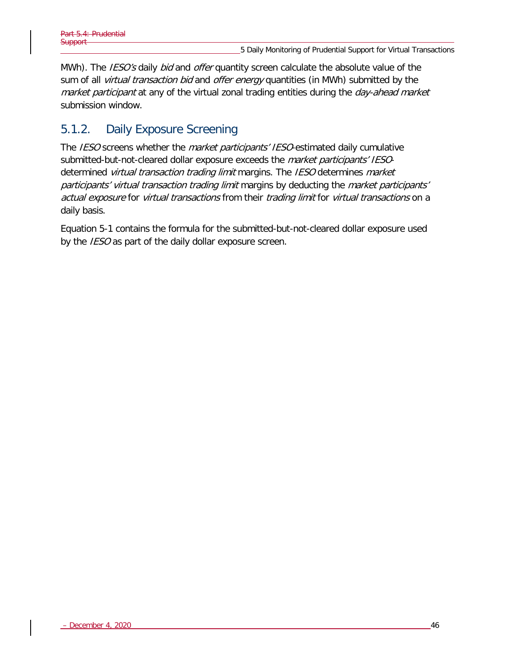MWh). The IESO's daily bid and offer quantity screen calculate the absolute value of the sum of all *virtual transaction bid* and *offer energy* quantities (in MWh) submitted by the market participant at any of the virtual zonal trading entities during the day-ahead market submission window.

## 5.1.2. Daily Exposure Screening

The IESO screens whether the *market participants' IESO*-estimated daily cumulative submitted-but-not-cleared dollar exposure exceeds the *market participants' IESO*determined *virtual transaction trading limit* margins. The *IESO* determines *market* participants' virtual transaction trading limit margins by deducting the market participants' actual exposure for virtual transactions from their trading limit for virtual transactions on a daily basis.

Equation 5-1 contains the formula for the submitted-but-not-cleared dollar exposure used by the *IESO* as part of the daily dollar exposure screen.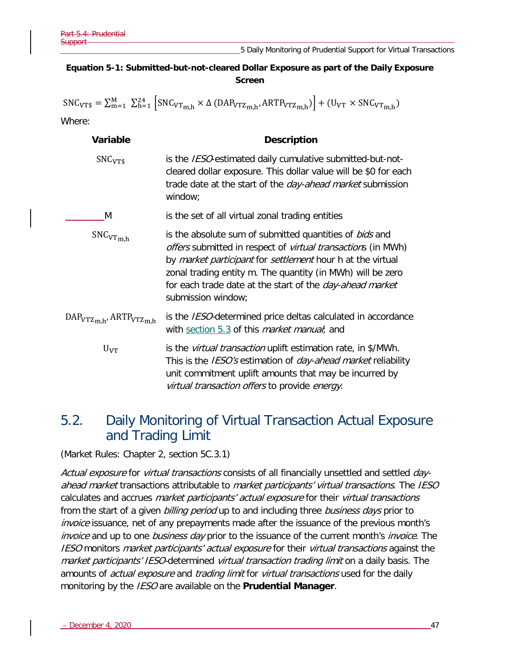$\mathsf{r}$ 

 $\overline{1}$ 

#### **Equation 5-1: Submitted-but-not-cleared Dollar Exposure as part of the Daily Exposure Screen**

| $SNC_{VT$} = \sum_{m=1}^{M} \sum_{h=1}^{24}  SNC_{VTm,h} \times \Delta (DAP_{VTZm,h}, ARTP_{VTZm,h})  + (U_{VT} \times SNC_{VTm,h})$ |                                                                                                                                                                                                                                                                                                                                                             |  |  |
|--------------------------------------------------------------------------------------------------------------------------------------|-------------------------------------------------------------------------------------------------------------------------------------------------------------------------------------------------------------------------------------------------------------------------------------------------------------------------------------------------------------|--|--|
| Where:                                                                                                                               |                                                                                                                                                                                                                                                                                                                                                             |  |  |
| Variable                                                                                                                             | <b>Description</b>                                                                                                                                                                                                                                                                                                                                          |  |  |
| SNC <sub>VTS</sub>                                                                                                                   | is the IESO-estimated daily cumulative submitted-but-not-<br>cleared dollar exposure. This dollar value will be \$0 for each<br>trade date at the start of the <i>day-ahead market</i> submission<br>window;                                                                                                                                                |  |  |
| M                                                                                                                                    | is the set of all virtual zonal trading entities                                                                                                                                                                                                                                                                                                            |  |  |
| $SNC_{VTm,h}$                                                                                                                        | is the absolute sum of submitted quantities of bids and<br><i>offers</i> submitted in respect of <i>virtual transaction</i> s (in MWh)<br>by market participant for settlement hour h at the virtual<br>zonal trading entity m. The quantity (in MWh) will be zero<br>for each trade date at the start of the <i>day-ahead market</i><br>submission window; |  |  |
| $\text{DAP}_{\text{VTZm.h}}$ , ARTP <sub>VTZm,h</sub>                                                                                | is the <i>IESO</i> -determined price deltas calculated in accordance<br>with section 5.3 of this <i>market manual</i> ; and                                                                                                                                                                                                                                 |  |  |
| $U_{VT}$                                                                                                                             | is the <i>virtual transaction</i> uplift estimation rate, in \$/MWh.<br>This is the IESO's estimation of day-ahead market reliability<br>unit commitment uplift amounts that may be incurred by<br><i>virtual transaction offers</i> to provide <i>energy</i> .                                                                                             |  |  |

## 5.2. Daily Monitoring of Virtual Transaction Actual Exposure and Trading Limit

(Market Rules: Chapter 2, section 5C.3.1)

Actual exposure for virtual transactions consists of all financially unsettled and settled dayahead market transactions attributable to market participants' virtual transactions. The IESO calculates and accrues market participants' actual exposure for their virtual transactions from the start of a given billing period up to and including three business days prior to invoice issuance, net of any prepayments made after the issuance of the previous month's invoice and up to one business day prior to the issuance of the current month's invoice. The IESO monitors *market participants' actual exposure* for their *virtual transactions* against the market participants' IESO-determined virtual transaction trading limit on a daily basis. The amounts of *actual exposure* and *trading limit* for *virtual transactions* used for the daily monitoring by the IESO are available on the **Prudential Manager**.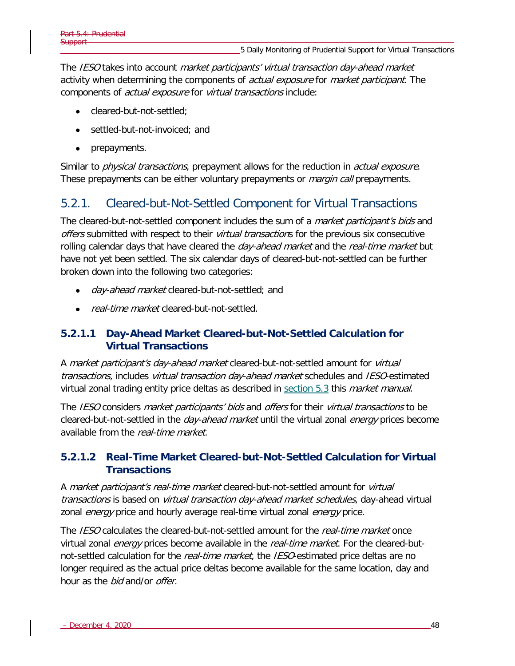The IESO takes into account market participants' virtual transaction day-ahead market activity when determining the components of *actual exposure* for *market participant*. The components of *actual exposure* for *virtual transactions* include:

- cleared-but-not-settled;
- settled-but-not-invoiced; and
- prepayments.

Similar to *physical transactions*, prepayment allows for the reduction in *actual exposure*. These prepayments can be either voluntary prepayments or *margin call* prepayments.

### 5.2.1. Cleared-but-Not-Settled Component for Virtual Transactions

The cleared-but-not-settled component includes the sum of a *market participant's bids* and offers submitted with respect to their *virtual transaction*s for the previous six consecutive rolling calendar days that have cleared the *day-ahead market* and the *real-time market* but have not yet been settled. The six calendar days of cleared-but-not-settled can be further broken down into the following two categories:

- day-ahead market cleared-but-not-settled; and
- real-time market cleared-but-not-settled.

#### **5.2.1.1 Day-Ahead Market Cleared-but-Not-Settled Calculation for Virtual Transactions**

A market participant's day-ahead market cleared-but-not-settled amount for virtual transactions, includes virtual transaction day-ahead market schedules and IESO-estimated virtual zonal trading entity price deltas as described in [section 5.3](#page-56-0) this *market manual*.

The IESO considers *market participants' bids* and *offers* for their *virtual transactions* to be cleared-but-not-settled in the *day-ahead market* until the virtual zonal *energy* prices become available from the real-time market.

#### **5.2.1.2 Real-Time Market Cleared-but-Not-Settled Calculation for Virtual Transactions**

A market participant's real-time market cleared-but-not-settled amount for virtual transactions is based on virtual transaction day-ahead market schedules, day-ahead virtual zonal *energy* price and hourly average real-time virtual zonal *energy* price.

The *IESO* calculates the cleared-but-not-settled amount for the *real-time market* once virtual zonal *energy* prices become available in the *real-time market*. For the cleared-butnot-settled calculation for the *real-time market*, the *IESO*-estimated price deltas are no longer required as the actual price deltas become available for the same location, day and hour as the *bid* and/or *offer*.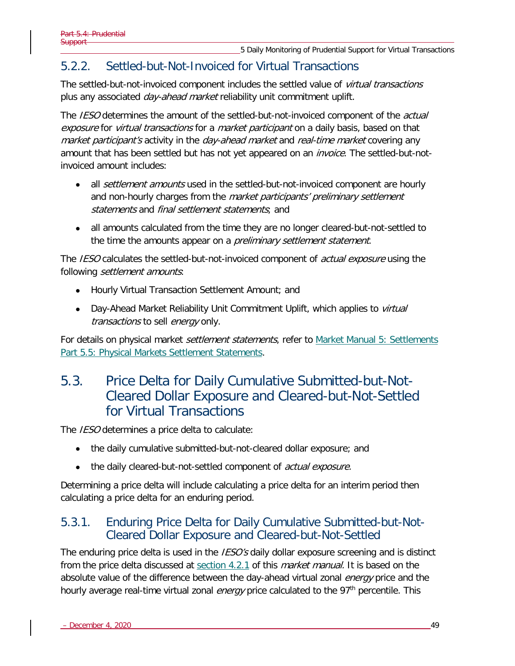### 5.2.2. Settled-but-Not-Invoiced for Virtual Transactions

The settled-but-not-invoiced component includes the settled value of *virtual transactions* plus any associated *day-ahead market* reliability unit commitment uplift.

The IESO determines the amount of the settled-but-not-invoiced component of the *actual* exposure for virtual transactions for a market participant on a daily basis, based on that market participant's activity in the day-ahead market and real-time market covering any amount that has been settled but has not yet appeared on an *invoice*. The settled-but-notinvoiced amount includes:

- all *settlement amounts* used in the settled-but-not-invoiced component are hourly and non-hourly charges from the *market participants' preliminary settlement* statements and final settlement statements; and
- all amounts calculated from the time they are no longer cleared-but-not-settled to the time the amounts appear on a *preliminary settlement statement*.

The IESO calculates the settled-but-not-invoiced component of *actual exposure* using the following settlement amounts:

- Hourly Virtual Transaction Settlement Amount; and
- Day-Ahead Market Reliability Unit Commitment Uplift, which applies to *virtual* transactions to sell energy only.

For details on physical market *settlement statements*, refer to Market Manual 5: Settlements [Part 5.5: Physical Markets Settlement Statements.](http://www.ieso.ca/-/media/Files/IESO/Document-Library/Market-Rules-and-Manuals-Library/market-manuals/settlements/se-rtestatements.pdf?la=en)

## <span id="page-56-0"></span>5.3. Price Delta for Daily Cumulative Submitted-but-Not-Cleared Dollar Exposure and Cleared-but-Not-Settled for Virtual Transactions

The IESO determines a price delta to calculate:

- the daily cumulative submitted-but-not-cleared dollar exposure; and
- the daily cleared-but-not-settled component of *actual exposure.*

Determining a price delta will include calculating a price delta for an interim period then calculating a price delta for an enduring period.

### 5.3.1. Enduring Price Delta for Daily Cumulative Submitted-but-Not-Cleared Dollar Exposure and Cleared-but-Not-Settled

The enduring price delta is used in the *IESO's* daily dollar exposure screening and is distinct from the price delta discussed at [section 4.2.1](#page-46-0) of this *market manual*. It is based on the absolute value of the difference between the day-ahead virtual zonal *energy* price and the hourly average real-time virtual zonal *energy* price calculated to the 97<sup>th</sup> percentile. This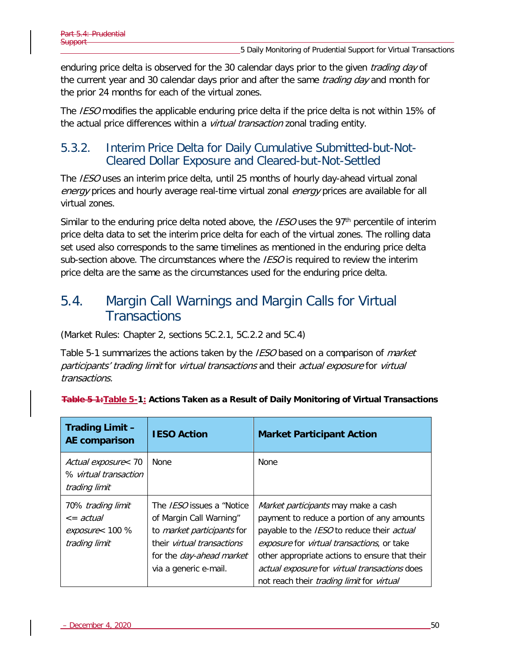enduring price delta is observed for the 30 calendar days prior to the given *trading day* of the current year and 30 calendar days prior and after the same *trading day* and month for the prior 24 months for each of the virtual zones.

The *IESO* modifies the applicable enduring price delta if the price delta is not within 15% of the actual price differences within a *virtual transaction* zonal trading entity.

### 5.3.2. Interim Price Delta for Daily Cumulative Submitted-but-Not-Cleared Dollar Exposure and Cleared-but-Not-Settled

The IESO uses an interim price delta, until 25 months of hourly day-ahead virtual zonal energy prices and hourly average real-time virtual zonal energy prices are available for all virtual zones.

Similar to the enduring price delta noted above, the *IESO* uses the 97<sup>th</sup> percentile of interim price delta data to set the interim price delta for each of the virtual zones. The rolling data set used also corresponds to the same timelines as mentioned in the enduring price delta sub-section above. The circumstances where the  $\textit{IESO}$  is required to review the interim price delta are the same as the circumstances used for the enduring price delta.

## 5.4. Margin Call Warnings and Margin Calls for Virtual **Transactions**

(Market Rules: Chapter 2, sections 5C.2.1, 5C.2.2 and 5C.4)

[Table 5-1](#page-57-0) summarizes the actions taken by the IESO based on a comparison of *market* participants' trading limit for virtual transactions and their actual exposure for virtual transactions.

| <b>Trading Limit -</b><br>AE comparison                                      | <b>IESO Action</b>                                                                                                                                                                         | <b>Market Participant Action</b>                                                                                                                                                                                                                                                                                                                                  |
|------------------------------------------------------------------------------|--------------------------------------------------------------------------------------------------------------------------------------------------------------------------------------------|-------------------------------------------------------------------------------------------------------------------------------------------------------------------------------------------------------------------------------------------------------------------------------------------------------------------------------------------------------------------|
| Actual exposure< 70<br>% virtual transaction<br>trading limit                | None                                                                                                                                                                                       | <b>None</b>                                                                                                                                                                                                                                                                                                                                                       |
| 70% trading limit<br>$\epsilon$ = actual<br>exposure< 100 %<br>trading limit | The <i>IESO</i> issues a "Notice<br>of Margin Call Warning"<br>to market participants for<br>their <i>virtual transactions</i><br>for the <i>day-ahead market</i><br>via a generic e-mail. | <i>Market participants</i> may make a cash<br>payment to reduce a portion of any amounts<br>payable to the IESO to reduce their actual<br><i>exposure</i> for <i>virtual transactions</i> , or take<br>other appropriate actions to ensure that their<br>actual exposure for virtual transactions does<br>not reach their <i>trading limit</i> for <i>virtual</i> |

#### <span id="page-57-0"></span>**Table 5 1:Table 5-1: Actions Taken as a Result of Daily Monitoring of Virtual Transactions**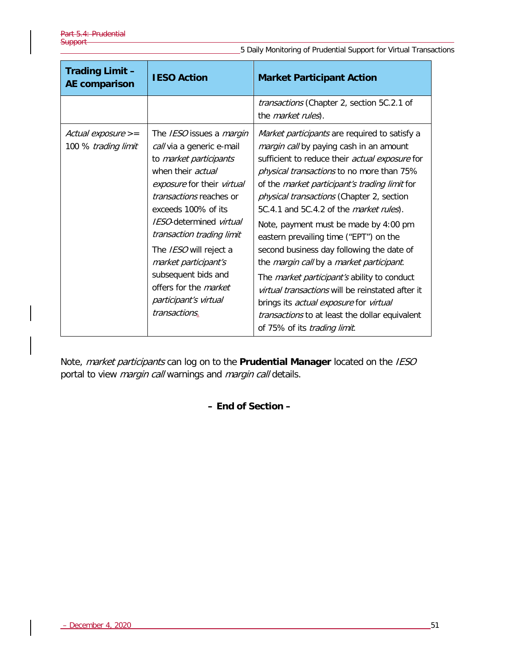5 Daily Monitoring of Prudential Support for Virtual Transactions

| <b>Trading Limit -</b><br><b>AE comparison</b> | <b>IESO Action</b>                                                                                                                                                                                                                                                                                                                                                                                                   | <b>Market Participant Action</b>                                                                                                                                                                                                                                                                                                                                                                                                                                                                                                                                                                                                                                                                                                                                                               |  |
|------------------------------------------------|----------------------------------------------------------------------------------------------------------------------------------------------------------------------------------------------------------------------------------------------------------------------------------------------------------------------------------------------------------------------------------------------------------------------|------------------------------------------------------------------------------------------------------------------------------------------------------------------------------------------------------------------------------------------------------------------------------------------------------------------------------------------------------------------------------------------------------------------------------------------------------------------------------------------------------------------------------------------------------------------------------------------------------------------------------------------------------------------------------------------------------------------------------------------------------------------------------------------------|--|
|                                                |                                                                                                                                                                                                                                                                                                                                                                                                                      | transactions (Chapter 2, section 5C.2.1 of<br>the <i>market rules</i> ).                                                                                                                                                                                                                                                                                                                                                                                                                                                                                                                                                                                                                                                                                                                       |  |
| Actual exposure $>=$<br>100 % trading limit    | The IESO issues a margin<br>call via a generic e-mail<br>to market participants<br>when their <i>actual</i><br>exposure for their virtual<br><i>transactions</i> reaches or<br>exceeds 100% of its<br><b>IESO-determined</b> virtual<br>transaction trading limit<br>The IESO will reject a<br>market participant's<br>subsequent bids and<br>offers for the <i>market</i><br>participant's virtual<br>transactions. | Market participants are required to satisfy a<br>margin call by paying cash in an amount<br>sufficient to reduce their actual exposure for<br>physical transactions to no more than 75%<br>of the <i>market participant's trading limit</i> for<br><i>physical transactions</i> (Chapter 2, section<br>5C.4.1 and 5C.4.2 of the <i>market rules</i> ).<br>Note, payment must be made by 4:00 pm<br>eastern prevailing time ("EPT") on the<br>second business day following the date of<br>the <i>margin call</i> by a <i>market participant</i> .<br>The <i>market participant's</i> ability to conduct<br>virtual transactions will be reinstated after it<br>brings its <i>actual exposure</i> for virtual<br>transactions to at least the dollar equivalent<br>of 75% of its trading limit. |  |

Note, market participants can log on to the **Prudential Manager** located on the IESO portal to view margin call warnings and margin call details.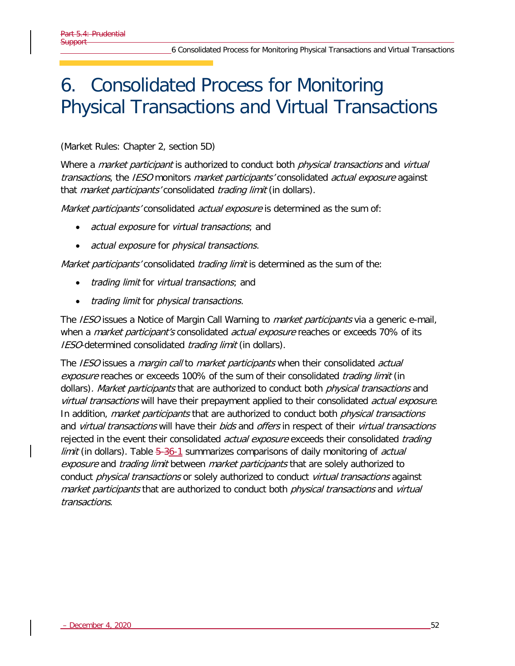# 6. Consolidated Process for Monitoring Physical Transactions and Virtual Transactions

### (Market Rules: Chapter 2, section 5D)

Where a *market participant* is authorized to conduct both *physical transactions* and *virtual* transactions, the IESO monitors market participants' consolidated actual exposure against that *market participants'* consolidated *trading limit* (in dollars).

Market participants' consolidated actual exposure is determined as the sum of:

- actual exposure for virtual transactions; and
- actual exposure for *physical transactions*.

Market participants' consolidated trading limit is determined as the sum of the:

- trading limit for virtual transactions; and
- trading limit for physical transactions.

The *IESO* issues a Notice of Margin Call Warning to *market participants* via a generic e-mail, when a *market participant's* consolidated *actual exposure* reaches or exceeds 70% of its IESO-determined consolidated *trading limit* (in dollars).

The IESO issues a *margin call* to *market participants* when their consolidated *actual* exposure reaches or exceeds 100% of the sum of their consolidated *trading limit* (in dollars). Market participants that are authorized to conduct both physical transactions and virtual transactions will have their prepayment applied to their consolidated actual exposure. In addition, *market participants* that are authorized to conduct both *physical transactions* and *virtual transactions* will have their *bids* and *offers* in respect of their *virtual transactions* rejected in the event their consolidated *actual exposure* exceeds their consolidated *trading limit* (in dollars). Table  $5-36-1$  summarizes comparisons of daily monitoring of *actual* exposure and trading limit between market participants that are solely authorized to conduct *physical transactions* or solely authorized to conduct *virtual transactions* against market participants that are authorized to conduct both *physical transactions* and *virtual* transactions.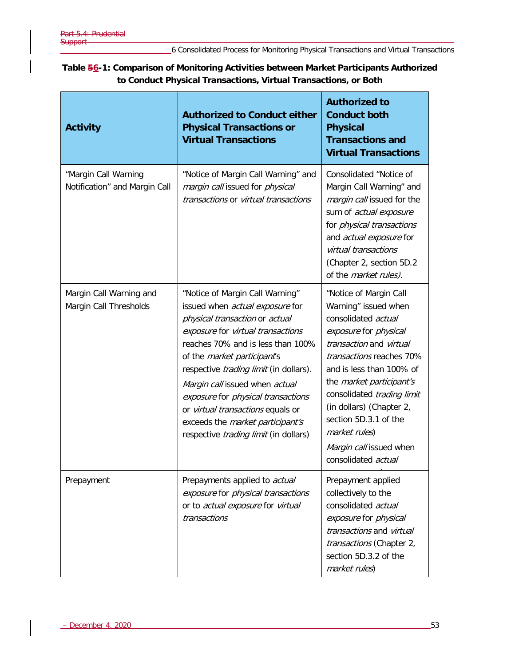<span id="page-60-0"></span>

| Table 56-1: Comparison of Monitoring Activities between Market Participants Authorized |  |
|----------------------------------------------------------------------------------------|--|
| to Conduct Physical Transactions, Virtual Transactions, or Both                        |  |

| <b>Activity</b>                                       | <b>Authorized to Conduct either</b><br><b>Physical Transactions or</b><br><b>Virtual Transactions</b>                                                                                                                                                                                                                                                                                                                                                                  | <b>Authorized to</b><br><b>Conduct both</b><br><b>Physical</b><br><b>Transactions and</b><br><b>Virtual Transactions</b>                                                                                                                                                                                                                                                   |
|-------------------------------------------------------|------------------------------------------------------------------------------------------------------------------------------------------------------------------------------------------------------------------------------------------------------------------------------------------------------------------------------------------------------------------------------------------------------------------------------------------------------------------------|----------------------------------------------------------------------------------------------------------------------------------------------------------------------------------------------------------------------------------------------------------------------------------------------------------------------------------------------------------------------------|
| "Margin Call Warning<br>Notification" and Margin Call | "Notice of Margin Call Warning" and<br>margin call issued for physical<br>transactions or virtual transactions                                                                                                                                                                                                                                                                                                                                                         | Consolidated "Notice of<br>Margin Call Warning" and<br>margin call issued for the<br>sum of actual exposure<br>for physical transactions<br>and actual exposure for<br>virtual transactions<br>(Chapter 2, section 5D.2<br>of the <i>market rules</i> ).                                                                                                                   |
| Margin Call Warning and<br>Margin Call Thresholds     | "Notice of Margin Call Warning"<br>issued when actual exposure for<br>physical transaction or actual<br>exposure for virtual transactions<br>reaches 70% and is less than 100%<br>of the <i>market participant's</i><br>respective <i>trading limit</i> (in dollars).<br>Margin call issued when actual<br>exposure for physical transactions<br>or virtual transactions equals or<br>exceeds the market participant's<br>respective <i>trading limit</i> (in dollars) | "Notice of Margin Call<br>Warning" issued when<br>consolidated actual<br>exposure for physical<br>transaction and virtual<br>transactions reaches 70%<br>and is less than 100% of<br>the <i>market participant's</i><br>consolidated trading limit<br>(in dollars) (Chapter 2,<br>section 5D.3.1 of the<br>market rules)<br>Margin call issued when<br>consolidated actual |
| Prepayment                                            | Prepayments applied to actual<br>exposure for physical transactions<br>or to actual exposure for virtual<br>transactions                                                                                                                                                                                                                                                                                                                                               | Prepayment applied<br>collectively to the<br>consolidated actual<br>exposure for physical<br>transactions and virtual<br>transactions (Chapter 2,<br>section 5D.3.2 of the<br>market rules)                                                                                                                                                                                |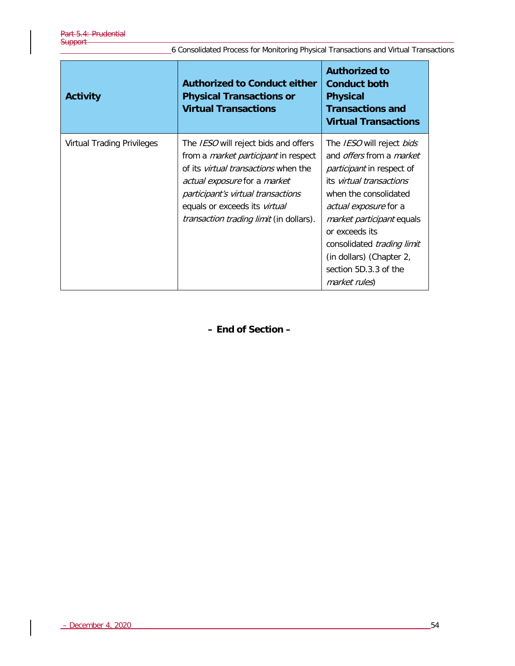| 6 Consolidated Process for Monitoring Physical Transactions and Virtual Transactions |  |
|--------------------------------------------------------------------------------------|--|
|--------------------------------------------------------------------------------------|--|

| <b>Activity</b>                   | <b>Authorized to Conduct either</b><br><b>Physical Transactions or</b><br><b>Virtual Transactions</b>                                                                                                                                                                                              | <b>Authorized to</b><br><b>Conduct both</b><br><b>Physical</b><br><b>Transactions and</b><br><b>Virtual Transactions</b>                                                                                                                                                                                                                               |
|-----------------------------------|----------------------------------------------------------------------------------------------------------------------------------------------------------------------------------------------------------------------------------------------------------------------------------------------------|--------------------------------------------------------------------------------------------------------------------------------------------------------------------------------------------------------------------------------------------------------------------------------------------------------------------------------------------------------|
| <b>Virtual Trading Privileges</b> | The <i>IESO</i> will reject bids and offers<br>from a <i>market participant</i> in respect<br>of its <i>virtual transactions</i> when the<br>actual exposure for a market<br>participant's virtual transactions<br>equals or exceeds its virtual<br><i>transaction trading limit</i> (in dollars). | The IESO will reject bids<br>and <i>offers</i> from a <i>market</i><br><i>participant</i> in respect of<br>its virtual transactions<br>when the consolidated<br><i>actual exposure</i> for a<br><i>market participant</i> equals<br>or exceeds its<br>consolidated trading limit<br>(in dollars) (Chapter 2,<br>section 5D.3.3 of the<br>market rules) |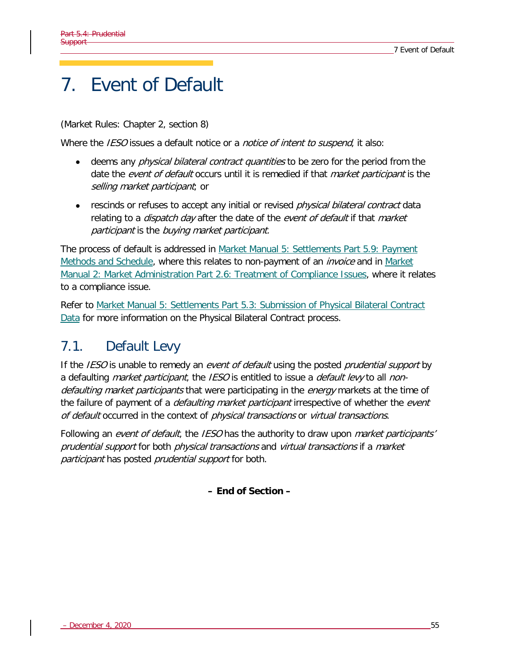# 7. Event of Default

(Market Rules: Chapter 2, section 8)

Where the IESO issues a default notice or a notice of intent to suspend, it also:

- deems any *physical bilateral contract quantities* to be zero for the period from the date the event of default occurs until it is remedied if that *market participant* is the selling market participant; or
- rescinds or refuses to accept any initial or revised *physical bilateral contract* data relating to a *dispatch day* after the date of the event of default if that market participant is the buying market participant.

The process of default is addressed in [Market Manual 5: Settlements Part 5.9: Payment](http://www.ieso.ca/-/media/Files/IESO/Document-Library/Market-Rules-and-Manuals-Library/market-manuals/settlements/se-PaymentMethods.pdf?la=en)  [Methods and Schedule,](http://www.ieso.ca/-/media/Files/IESO/Document-Library/Market-Rules-and-Manuals-Library/market-manuals/settlements/se-PaymentMethods.pdf?la=en) where this relates to non-payment of an *invoice* and in Market [Manual 2: Market Administration Part 2.6: Treatment of Compliance Issues,](http://www.ieso.ca/-/media/Files/IESO/Document-Library/Market-Rules-and-Manuals-Library/market-manuals/market-administration/ma-CompIssues.pdf?la=en) where it relates to a compliance issue.

Refer to [Market Manual 5: Settlements Part 5.3: Submission of Physical Bilateral Contract](http://www.ieso.ca/-/media/Files/IESO/Document-Library/Market-Rules-and-Manuals-Library/market-manuals/settlements/se-PhysicalBilaterals.pdf?la=en)  [Data](http://www.ieso.ca/-/media/Files/IESO/Document-Library/Market-Rules-and-Manuals-Library/market-manuals/settlements/se-PhysicalBilaterals.pdf?la=en) for more information on the Physical Bilateral Contract process.

# 7.1. Default Levy

If the IESO is unable to remedy an event of default using the posted prudential support by a defaulting *market participant*, the *IESO* is entitled to issue a *default levy* to all *non*defaulting market participants that were participating in the energy markets at the time of the failure of payment of a *defaulting market participant* irrespective of whether the *event* of default occurred in the context of *physical transactions* or *virtual transactions*.

Following an event of default, the IESO has the authority to draw upon market participants' prudential support for both physical transactions and virtual transactions if a market participant has posted prudential support for both.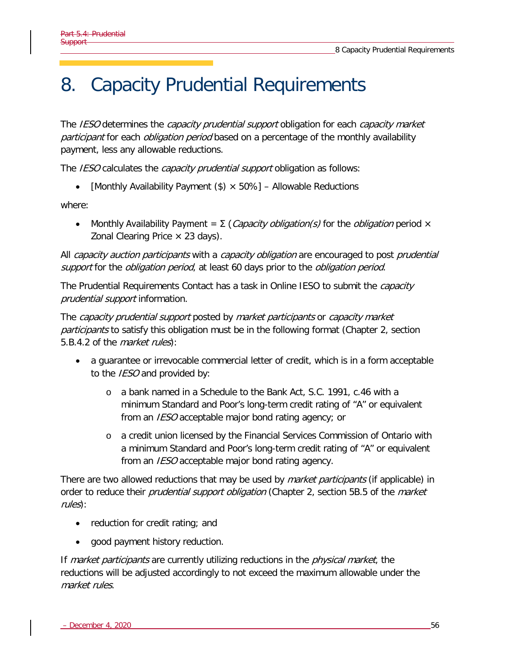# 8. Capacity Prudential Requirements

The IESO determines the capacity prudential support obligation for each capacity market participant for each *obligation period* based on a percentage of the monthly availability payment, less any allowable reductions.

The IESO calculates the *capacity prudential support* obligation as follows:

• [Monthly Availability Payment  $(\$) \times 50\%$ ] – Allowable Reductions

where:

• Monthly Availability Payment =  $\Sigma$  (Capacity obligation(s) for the obligation period  $\times$ Zonal Clearing Price  $\times$  23 days).

All capacity auction participants with a capacity obligation are encouraged to post prudential support for the *obligation period*, at least 60 days prior to the *obligation period*.

The Prudential Requirements Contact has a task in Online IESO to submit the *capacity* prudential support information.

The capacity prudential support posted by market participants or capacity market participants to satisfy this obligation must be in the following format (Chapter 2, section 5.B.4.2 of the market rules):

- a guarantee or irrevocable commercial letter of credit, which is in a form acceptable to the *IESO* and provided by:
	- o a bank named in a Schedule to the Bank Act, S.C. 1991, c.46 with a minimum Standard and Poor's long-term credit rating of "A" or equivalent from an IESO acceptable major bond rating agency; or
	- o a credit union licensed by the Financial Services Commission of Ontario with a minimum Standard and Poor's long-term credit rating of "A" or equivalent from an *IESO* acceptable major bond rating agency.

There are two allowed reductions that may be used by *market participants* (if applicable) in order to reduce their *prudential support obligation* (Chapter 2, section 5B.5 of the *market* rules):

- reduction for credit rating; and
- good payment history reduction.

If *market participants* are currently utilizing reductions in the *physical market*, the reductions will be adjusted accordingly to not exceed the maximum allowable under the market rules.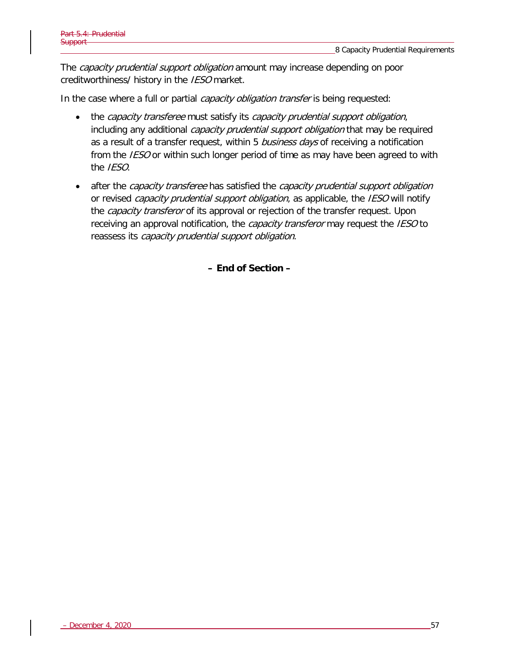The *capacity prudential support obligation* amount may increase depending on poor creditworthiness/ history in the IESO market.

In the case where a full or partial *capacity obligation transfer* is being requested:

- the capacity transferee must satisfy its capacity prudential support obligation, including any additional *capacity prudential support obligation* that may be required as a result of a transfer request, within 5 business days of receiving a notification from the *IESO* or within such longer period of time as may have been agreed to with the IESO.
- after the *capacity transferee* has satisfied the *capacity prudential support obligation* or revised *capacity prudential support obligation*, as applicable, the IESO will notify the *capacity transferor* of its approval or rejection of the transfer request. Upon receiving an approval notification, the *capacity transferor* may request the *IESO* to reassess its capacity prudential support obligation.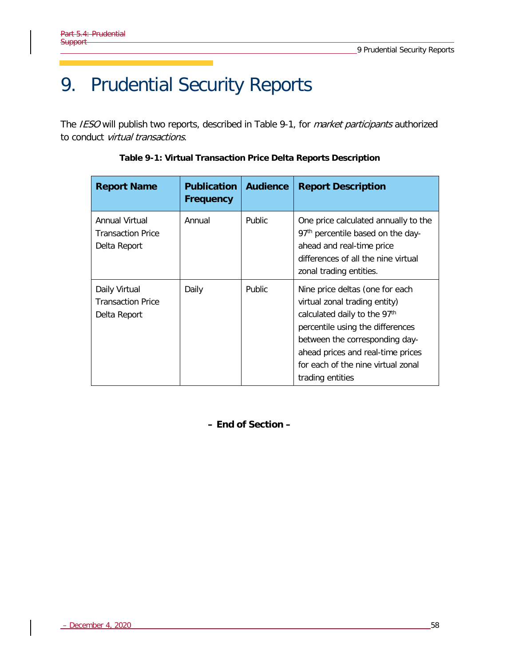# 9. Prudential Security Reports

<span id="page-65-0"></span>The IESO will publish two reports, described in [Table 9-1,](#page-65-0) for *market participants* authorized to conduct virtual transactions.

| <b>Report Name</b>                                         | <b>Publication</b><br>Frequency | <b>Audience</b> | <b>Report Description</b>                                                                                                                                                                                                                                             |
|------------------------------------------------------------|---------------------------------|-----------------|-----------------------------------------------------------------------------------------------------------------------------------------------------------------------------------------------------------------------------------------------------------------------|
| Annual Virtual<br><b>Transaction Price</b><br>Delta Report | Annual                          | <b>Public</b>   | One price calculated annually to the<br>97 <sup>th</sup> percentile based on the day-<br>ahead and real-time price<br>differences of all the nine virtual<br>zonal trading entities.                                                                                  |
| Daily Virtual<br><b>Transaction Price</b><br>Delta Report  | Daily                           | <b>Public</b>   | Nine price deltas (one for each<br>virtual zonal trading entity)<br>calculated daily to the 97th<br>percentile using the differences<br>between the corresponding day-<br>ahead prices and real-time prices<br>for each of the nine virtual zonal<br>trading entities |

**Table 9-1: Virtual Transaction Price Delta Reports Description**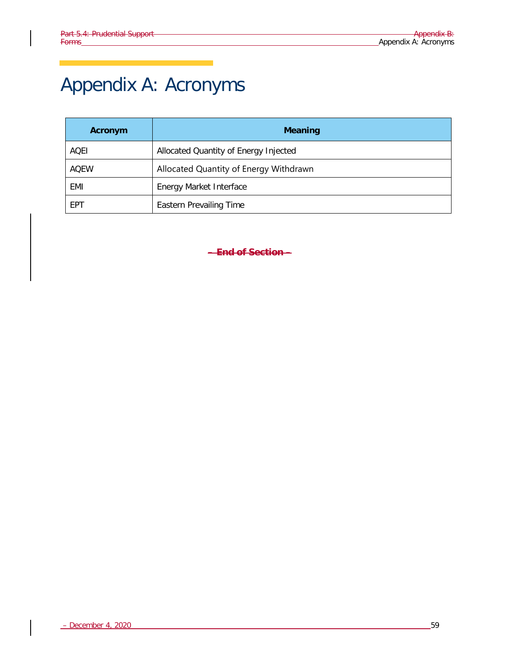# Appendix A: Acronyms

| Acronym     | <b>Meaning</b>                         |
|-------------|----------------------------------------|
| AOEI        | Allocated Quantity of Energy Injected  |
| <b>AOEW</b> | Allocated Quantity of Energy Withdrawn |
| EMI         | <b>Energy Market Interface</b>         |
| EPT         | <b>Eastern Prevailing Time</b>         |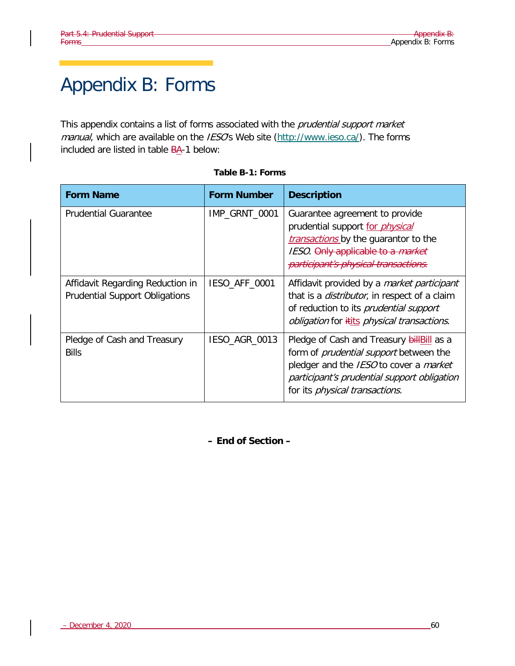# Appendix B: Forms

This appendix contains a list of forms associated with the *prudential support market* manual, which are available on the IESO's Web site [\(http://www.ieso.ca/\)](http://www.theimo.com/). The forms included are listed in table BA-1 below:

| <b>Form Name</b>                                                          | <b>Form Number</b> | <b>Description</b>                                                                                                                                                                                                             |
|---------------------------------------------------------------------------|--------------------|--------------------------------------------------------------------------------------------------------------------------------------------------------------------------------------------------------------------------------|
| <b>Prudential Guarantee</b>                                               | IMP_GRNT_0001      | Guarantee agreement to provide<br>prudential support for <i>physical</i><br><i>transactions</i> by the guarantor to the<br>IESO. Only applicable to a market<br>participant's physical transactions.                           |
| Affidavit Regarding Reduction in<br><b>Prudential Support Obligations</b> | IESO_AFF_0001      | Affidavit provided by a market participant<br>that is a <i>distributor</i> , in respect of a claim<br>of reduction to its <i>prudential support</i><br><i>obligation</i> for <i>itits physical transactions</i> .              |
| Pledge of Cash and Treasury<br><b>Bills</b>                               | IESO_AGR_0013      | Pledge of Cash and Treasury bill Bill as a<br>form of <i>prudential support</i> between the<br>pledger and the IESO to cover a market<br>participant's prudential support obligation<br>for its <i>physical transactions</i> . |

#### **Table B-1: Forms**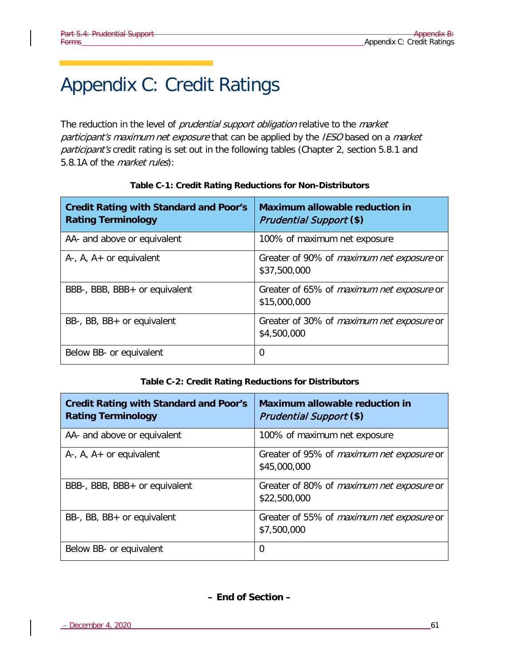# Appendix C: Credit Ratings

The reduction in the level of *prudential support obligation* relative to the *market* participant's maximum net exposure that can be applied by the IESO based on a market participant's credit rating is set out in the following tables (Chapter 2, section 5.8.1 and 5.8.1A of the *market rules*):

| <b>Credit Rating with Standard and Poor's</b><br><b>Rating Terminology</b> | <b>Maximum allowable reduction in</b><br><b>Prudential Support (\$)</b> |
|----------------------------------------------------------------------------|-------------------------------------------------------------------------|
| AA- and above or equivalent                                                | 100% of maximum net exposure                                            |
| $A-$ , $A$ , $A+$ or equivalent                                            | Greater of 90% of <i>maximum net exposure</i> or<br>\$37,500,000        |
| BBB-, BBB, BBB+ or equivalent                                              | Greater of 65% of <i>maximum net exposure</i> or<br>\$15,000,000        |
| BB-, BB, BB+ or equivalent                                                 | Greater of 30% of <i>maximum net exposure</i> or<br>\$4,500,000         |
| Below BB- or equivalent                                                    | $\Omega$                                                                |

#### **Table C-1: Credit Rating Reductions for Non-Distributors**

#### **Table C-2: Credit Rating Reductions for Distributors**

| <b>Credit Rating with Standard and Poor's</b><br><b>Rating Terminology</b> | Maximum allowable reduction in<br><b>Prudential Support (\$)</b> |
|----------------------------------------------------------------------------|------------------------------------------------------------------|
| AA- and above or equivalent                                                | 100% of maximum net exposure                                     |
| $A-$ , $A$ , $A+$ or equivalent                                            | Greater of 95% of <i>maximum net exposure</i> or<br>\$45,000,000 |
| BBB-, BBB, BBB+ or equivalent                                              | Greater of 80% of <i>maximum net exposure</i> or<br>\$22,500,000 |
| BB-, BB, BB+ or equivalent                                                 | Greater of 55% of <i>maximum net exposure</i> or<br>\$7,500,000  |
| Below BB- or equivalent                                                    | 0                                                                |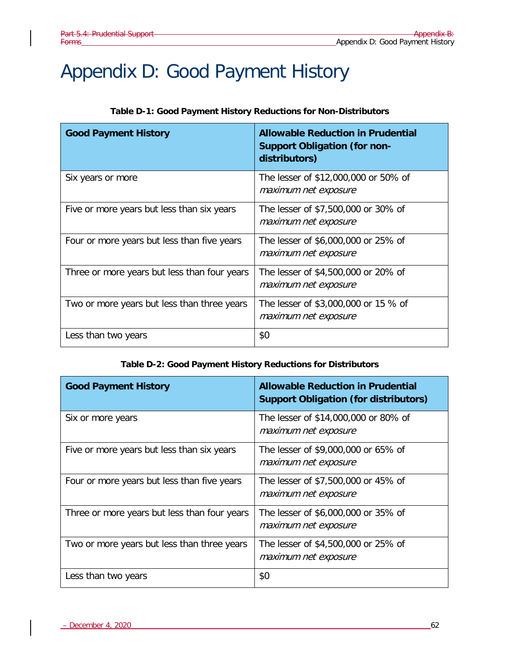# Appendix D: Good Payment History

#### **Table D-1: Good Payment History Reductions for Non-Distributors**

| <b>Good Payment History</b>                  | <b>Allowable Reduction in Prudential</b><br><b>Support Obligation (for non-</b><br>distributors) |
|----------------------------------------------|--------------------------------------------------------------------------------------------------|
| Six years or more                            | The lesser of \$12,000,000 or 50% of<br>maximum net exposure                                     |
| Five or more years but less than six years   | The lesser of \$7,500,000 or 30% of<br>maximum net exposure                                      |
| Four or more years but less than five years  | The lesser of \$6,000,000 or 25% of<br>maximum net exposure                                      |
| Three or more years but less than four years | The lesser of \$4,500,000 or 20% of<br>maximum net exposure                                      |
| Two or more years but less than three years  | The lesser of \$3,000,000 or 15 % of<br>maximum net exposure                                     |
| Less than two years                          | \$0                                                                                              |

#### **Table D-2: Good Payment History Reductions for Distributors**

| <b>Good Payment History</b>                  | <b>Allowable Reduction in Prudential</b><br><b>Support Obligation (for distributors)</b> |
|----------------------------------------------|------------------------------------------------------------------------------------------|
| Six or more years                            | The lesser of \$14,000,000 or 80% of<br>maximum net exposure                             |
| Five or more years but less than six years   | The lesser of \$9,000,000 or 65% of<br>maximum net exposure                              |
| Four or more years but less than five years  | The lesser of \$7,500,000 or 45% of<br>maximum net exposure                              |
| Three or more years but less than four years | The lesser of \$6,000,000 or 35% of<br>maximum net exposure                              |
| Two or more years but less than three years  | The lesser of \$4,500,000 or 25% of<br>maximum net exposure                              |
| Less than two years                          | \$0                                                                                      |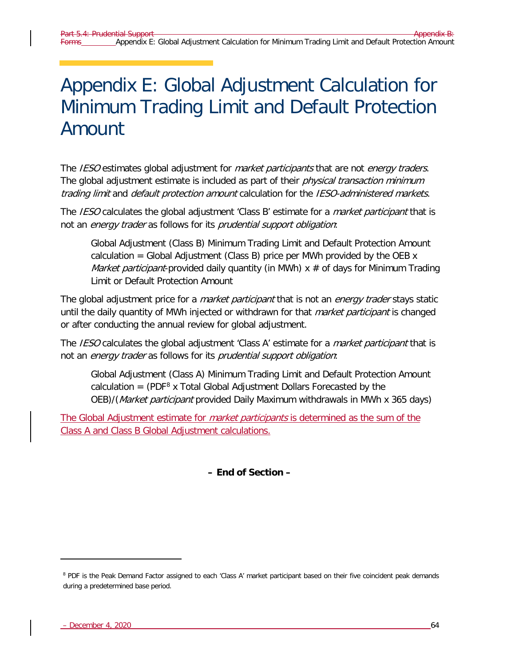# Appendix E: Global Adjustment Calculation for Minimum Trading Limit and Default Protection Amount

The IESO estimates global adjustment for *market participants* that are not *energy traders*. The global adjustment estimate is included as part of their *physical transaction minimum* trading limit and default protection amount calculation for the IESO-administered markets.

The IESO calculates the global adjustment 'Class B' estimate for a *market participant* that is not an energy trader as follows for its prudential support obligation:

Global Adjustment (Class B) Minimum Trading Limit and Default Protection Amount calculation = Global Adjustment (Class B) price per MWh provided by the OEB  $x$ *Market participant*-provided daily quantity (in MWh)  $x \neq 0$  days for Minimum Trading Limit or Default Protection Amount

The global adjustment price for a *market participant* that is not an *energy trader* stays static until the daily quantity of MWh injected or withdrawn for that *market participant* is changed or after conducting the annual review for global adjustment.

The *IESO* calculates the global adjustment 'Class A' estimate for a *market participant* that is not an energy trader as follows for its prudential support obligation:

Global Adjustment (Class A) Minimum Trading Limit and Default Protection Amount calculation =  $(PDF<sup>8</sup> x Total Global Adjustment Dollars Forecasted by the)$  $(PDF<sup>8</sup> x Total Global Adjustment Dollars Forecasted by the)$  $(PDF<sup>8</sup> x Total Global Adjustment Dollars Forecasted by the)$ OEB)/(Market participant provided Daily Maximum withdrawals in MWh x 365 days)

The Global Adjustment estimate for *market participants* is determined as the sum of the Class A and Class B Global Adjustment calculations.

**– End of Section –**

ł

<span id="page-71-0"></span><sup>&</sup>lt;sup>8</sup> PDF is the Peak Demand Factor assigned to each 'Class A' market participant based on their five coincident peak demands during a predetermined base period.